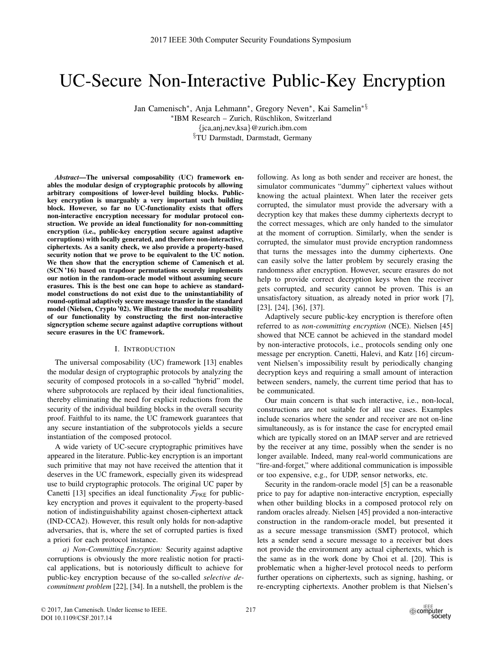# UC-Secure Non-Interactive Public-Key Encryption

Jan Camenisch∗, Anja Lehmann∗, Gregory Neven∗, Kai Samelin∗§ ∗IBM Research – Zurich, Ruschlikon, Switzerland ¨ {jca,anj,nev,ksa}@zurich.ibm.com

§TU Darmstadt, Darmstadt, Germany

*Abstract*—The universal composability (UC) framework enables the modular design of cryptographic protocols by allowing arbitrary compositions of lower-level building blocks. Publickey encryption is unarguably a very important such building block. However, so far no UC-functionality exists that offers non-interactive encryption necessary for modular protocol construction. We provide an ideal functionality for non-committing encryption (i.e., public-key encryption secure against adaptive corruptions) with locally generated, and therefore non-interactive, ciphertexts. As a sanity check, we also provide a property-based security notion that we prove to be equivalent to the UC notion. We then show that the encryption scheme of Camenisch et al. (SCN '16) based on trapdoor permutations securely implements our notion in the random-oracle model without assuming secure erasures. This is the best one can hope to achieve as standardmodel constructions do not exist due to the uninstantiability of round-optimal adaptively secure message transfer in the standard model (Nielsen, Crypto '02). We illustrate the modular reusability of our functionality by constructing the first non-interactive signcryption scheme secure against adaptive corruptions without secure erasures in the UC framework.

### I. INTRODUCTION

The universal composability (UC) framework [13] enables the modular design of cryptographic protocols by analyzing the security of composed protocols in a so-called "hybrid" model, where subprotocols are replaced by their ideal functionalities, thereby eliminating the need for explicit reductions from the security of the individual building blocks in the overall security proof. Faithful to its name, the UC framework guarantees that any secure instantiation of the subprotocols yields a secure instantiation of the composed protocol.

A wide variety of UC-secure cryptographic primitives have appeared in the literature. Public-key encryption is an important such primitive that may not have received the attention that it deserves in the UC framework, especially given its widespread use to build cryptographic protocols. The original UC paper by Canetti [13] specifies an ideal functionality  $\mathcal{F}_{PKE}$  for publickey encryption and proves it equivalent to the property-based notion of indistinguishability against chosen-ciphertext attack (IND-CCA2). However, this result only holds for non-adaptive adversaries, that is, where the set of corrupted parties is fixed a priori for each protocol instance.

*a) Non-Committing Encryption:* Security against adaptive corruptions is obviously the more realistic notion for practical applications, but is notoriously difficult to achieve for public-key encryption because of the so-called *selective decommitment problem* [22], [34]. In a nutshell, the problem is the

following. As long as both sender and receiver are honest, the simulator communicates "dummy" ciphertext values without knowing the actual plaintext. When later the receiver gets corrupted, the simulator must provide the adversary with a decryption key that makes these dummy ciphertexts decrypt to the correct messages, which are only handed to the simulator at the moment of corruption. Similarly, when the sender is corrupted, the simulator must provide encryption randomness that turns the messages into the dummy ciphertexts. One can easily solve the latter problem by securely erasing the randomness after encryption. However, secure erasures do not help to provide correct decryption keys when the receiver gets corrupted, and security cannot be proven. This is an unsatisfactory situation, as already noted in prior work [7], [23], [24], [36], [37].

Adaptively secure public-key encryption is therefore often referred to as *non-committing encryption* (NCE). Nielsen [45] showed that NCE cannot be achieved in the standard model by non-interactive protocols, i.e., protocols sending only one message per encryption. Canetti, Halevi, and Katz [16] circumvent Nielsen's impossibility result by periodically changing decryption keys and requiring a small amount of interaction between senders, namely, the current time period that has to be communicated.

Our main concern is that such interactive, i.e., non-local, constructions are not suitable for all use cases. Examples include scenarios where the sender and receiver are not on-line simultaneously, as is for instance the case for encrypted email which are typically stored on an IMAP server and are retrieved by the receiver at any time, possibly when the sender is no longer available. Indeed, many real-world communications are "fire-and-forget," where additional communication is impossible or too expensive, e.g., for UDP, sensor networks, etc.

Security in the random-oracle model [5] can be a reasonable price to pay for adaptive non-interactive encryption, especially when other building blocks in a composed protocol rely on random oracles already. Nielsen [45] provided a non-interactive construction in the random-oracle model, but presented it as a secure message transmission (SMT) protocol, which lets a sender send a secure message to a receiver but does not provide the environment any actual ciphertexts, which is the same as in the work done by Choi et al. [20]. This is problematic when a higher-level protocol needs to perform further operations on ciphertexts, such as signing, hashing, or re-encrypting ciphertexts. Another problem is that Nielsen's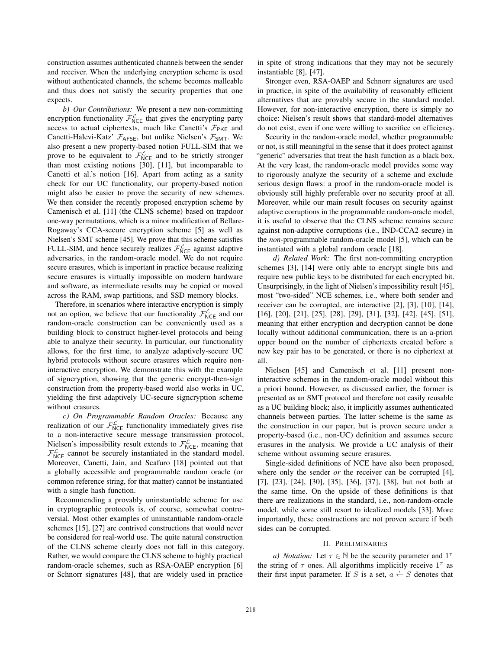construction assumes authenticated channels between the sender and receiver. When the underlying encryption scheme is used without authenticated channels, the scheme becomes malleable and thus does not satisfy the security properties that one expects.

*b) Our Contributions:* We present a new non-committing encryption functionality  $\mathcal{F}_{NCE}^{\mathcal{L}}$  that gives the encrypting party access to actual ciphertexts, much like Canetti's  $\mathcal{F}_{\text{PKE}}$  and Canetti-Halevi-Katz'  $\mathcal{F}_{\text{AFSE}}$ , but unlike Nielsen's  $\mathcal{F}_{\text{SMT}}$ . We also present a new property-based notion FULL-SIM that we prove to be equivalent to  $\mathcal{F}_{NCE}^{\mathcal{L}}$  and to be strictly stronger than most existing notions [30], [11], but incomparable to Canetti et al.'s notion [16]. Apart from acting as a sanity check for our UC functionality, our property-based notion might also be easier to prove the security of new schemes. We then consider the recently proposed encryption scheme by Camenisch et al. [11] (the CLNS scheme) based on trapdoor one-way permutations, which is a minor modification of Bellare-Rogaway's CCA-secure encryption scheme [5] as well as Nielsen's SMT scheme [45]. We prove that this scheme satisfies FULL-SIM, and hence securely realizes  $\mathcal{F}^{\mathcal{L}}_{NCE}$  against adaptive adversaries, in the random-oracle model. We do not require secure erasures, which is important in practice because realizing secure erasures is virtually impossible on modern hardware and software, as intermediate results may be copied or moved across the RAM, swap partitions, and SSD memory blocks.

Therefore, in scenarios where interactive encryption is simply not an option, we believe that our functionality  $\mathcal{F}_{NCE}^{\mathcal{L}}$  and our random-oracle construction can be conveniently used as a building block to construct higher-level protocols and being able to analyze their security. In particular, our functionality allows, for the first time, to analyze adaptively-secure UC hybrid protocols without secure erasures which require noninteractive encryption. We demonstrate this with the example of signcryption, showing that the generic encrypt-then-sign construction from the property-based world also works in UC, yielding the first adaptively UC-secure signcryption scheme without erasures.

*c) On Programmable Random Oracles:* Because any realization of our  $\mathcal{F}_{NCE}^{\mathcal{L}}$  functionality immediately gives rise to a non-interactive secure message transmission protocol, Nielsen's impossibility result extends to  $\mathcal{F}_{NCE}^{\mathcal{L}}$ , meaning that  $\mathcal{F}_{NCE}^{\mathcal{L}}$  cannot be securely instantiated in the standard model. Moreover, Canetti, Jain, and Scafuro [18] pointed out that a globally accessible and programmable random oracle (or common reference string, for that matter) cannot be instantiated with a single hash function.

Recommending a provably uninstantiable scheme for use in cryptographic protocols is, of course, somewhat controversial. Most other examples of uninstantiable random-oracle schemes [15], [27] are contrived constructions that would never be considered for real-world use. The quite natural construction of the CLNS scheme clearly does not fall in this category. Rather, we would compare the CLNS scheme to highly practical random-oracle schemes, such as RSA-OAEP encryption [6] or Schnorr signatures [48], that are widely used in practice

in spite of strong indications that they may not be securely instantiable [8], [47].

Stronger even, RSA-OAEP and Schnorr signatures are used in practice, in spite of the availability of reasonably efficient alternatives that are provably secure in the standard model. However, for non-interactive encryption, there is simply no choice: Nielsen's result shows that standard-model alternatives do not exist, even if one were willing to sacrifice on efficiency.

Security in the random-oracle model, whether programmable or not, is still meaningful in the sense that it does protect against "generic" adversaries that treat the hash function as a black box. At the very least, the random-oracle model provides some way to rigorously analyze the security of a scheme and exclude serious design flaws: a proof in the random-oracle model is obviously still highly preferable over no security proof at all. Moreover, while our main result focuses on security against adaptive corruptions in the programmable random-oracle model, it is useful to observe that the CLNS scheme remains secure against non-adaptive corruptions (i.e., IND-CCA2 secure) in the *non-*programmable random-oracle model [5], which can be instantiated with a global random oracle [18].

*d) Related Work:* The first non-committing encryption schemes [3], [14] were only able to encrypt single bits and require new public keys to be distributed for each encrypted bit. Unsurprisingly, in the light of Nielsen's impossibility result [45], most "two-sided" NCE schemes, i.e., where both sender and receiver can be corrupted, are interactive [2], [3], [10], [14], [16], [20], [21], [25], [28], [29], [31], [32], [42], [45], [51], meaning that either encryption and decryption cannot be done locally without additional communication, there is an a-priori upper bound on the number of ciphertexts created before a new key pair has to be generated, or there is no ciphertext at all.

Nielsen [45] and Camenisch et al. [11] present noninteractive schemes in the random-oracle model without this a priori bound. However, as discussed earlier, the former is presented as an SMT protocol and therefore not easily reusable as a UC building block; also, it implicitly assumes authenticated channels between parties. The latter scheme is the same as the construction in our paper, but is proven secure under a property-based (i.e., non-UC) definition and assumes secure erasures in the analysis. We provide a UC analysis of their scheme without assuming secure erasures.

Single-sided definitions of NCE have also been proposed, where only the sender *or* the receiver can be corrupted [4], [7], [23], [24], [30], [35], [36], [37], [38], but not both at the same time. On the upside of these definitions is that there are realizations in the standard, i.e., non-random-oracle model, while some still resort to idealized models [33]. More importantly, these constructions are not proven secure if both sides can be corrupted.

#### II. PRELIMINARIES

*a) Notation:* Let  $\tau \in \mathbb{N}$  be the security parameter and  $1^{\tau}$ the string of  $\tau$  ones. All algorithms implicitly receive  $1^{\tau}$  as their first input parameter. If S is a set,  $a \leftarrow S$  denotes that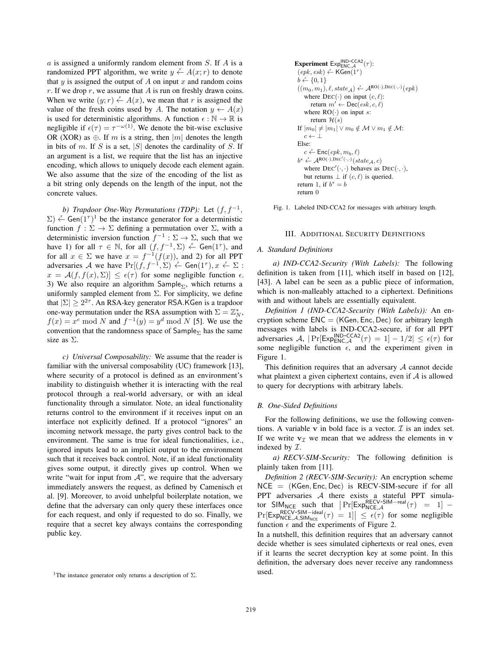$a$  is assigned a uniformly random element from  $S$ . If  $A$  is a randomized PPT algorithm, we write  $y \stackrel{r}{\leftarrow} A(x; r)$  to denote that  $y$  is assigned the output of  $A$  on input  $x$  and random coins r. If we drop  $r$ , we assume that  $A$  is run on freshly drawn coins. When we write  $(y; r) \stackrel{r}{\leftarrow} A(x)$ , we mean that r is assigned the value of the fresh coins used by A. The notation  $y \leftarrow A(x)$ is used for deterministic algorithms. A function  $\epsilon : \mathbb{N} \to \mathbb{R}$  is negligible if  $\epsilon(\tau) = \tau^{-\omega(1)}$ . We denote the bit-wise exclusive OR (XOR) as  $\oplus$ . If m is a string, then |m| denotes the length in bits of m. If S is a set,  $|S|$  denotes the cardinality of S. If an argument is a list, we require that the list has an injective encoding, which allows to uniquely decode each element again. We also assume that the size of the encoding of the list as a bit string only depends on the length of the input, not the concrete values.

*b) Trapdoor One-Way Permutations (TDP):* Let  $(f, f^{-1}, f)$  $(\Sigma) \leftarrow$  Gen $(1^{\tau})^1$  be the instance generator for a deterministic function  $f : \Sigma \to \Sigma$  defining a permutation over  $\Sigma$ , with a deterministic inversion function  $f^{-1} : \Sigma \to \Sigma$ , such that we have 1) for all  $\tau \in \mathbb{N}$ , for all  $(f, f^{-1}, \Sigma) \leftarrow$  Gen $(1^{\tau})$ , and for all  $x \in \Sigma$  we have  $x = f^{-1}(f(x))$ , and 2) for all PPT adversaries A we have  $Pr[(f, f^{-1}, \Sigma) \stackrel{\cdot}{\leftarrow} Gen(1^{\tau}), x \stackrel{\cdot}{\leftarrow} \Sigma$ :  $x = \mathcal{A}(f, f(x), \Sigma) \leq \epsilon(\tau)$  for some negligible function  $\epsilon$ . 3) We also require an algorithm Sample<sub> $\Sigma$ </sub>, which returns a uniformly sampled element from  $\Sigma$ . For simplicity, we define that  $|\Sigma| \geq 2^{2\tau}$ . An RSA-key generator RSA.KGen is a trapdoor one-way permutation under the RSA assumption with  $\Sigma = \mathbb{Z}_N^*$ ,  $f(x) = x^e \mod N$  and  $f^{-1}(y) = y^d \mod N$  [5]. We use the convention that the randomness space of  $Sample_{\Sigma}$  has the same size as Σ.

*c) Universal Composability:* We assume that the reader is familiar with the universal composability (UC) framework [13], where security of a protocol is defined as an environment's inability to distinguish whether it is interacting with the real protocol through a real-world adversary, or with an ideal functionality through a simulator. Note, an ideal functionality returns control to the environment if it receives input on an interface not explicitly defined. If a protocol "ignores" an incoming network message, the party gives control back to the environment. The same is true for ideal functionalities, i.e., ignored inputs lead to an implicit output to the environment such that it receives back control. Note, if an ideal functionality gives some output, it directly gives up control. When we write "wait for input from  $A$ ", we require that the adversary immediately answers the request, as defined by Camenisch et al. [9]. Moreover, to avoid unhelpful boilerplate notation, we define that the adversary can only query these interfaces once for each request, and only if requested to do so. Finally, we require that a secret key always contains the corresponding public key.

```
Experiment Exp^{IND-CCA2}_{ENC, \mathcal{A}}(\tau):
 (\overline{epk}, \overline{esk}) \overset{r}{\leftarrow} \mathsf{KGen}(1^{\tau})b \leftarrow \{0, 1\}((m_0, m_1), \ell, state_{\mathcal{A}}) \xleftarrow{\mathbf{r}} \mathcal{A}^{\text{RO}(\cdot), \text{DEC}(\cdot, \cdot)}(epk)where \text{DEC}(\cdot) on input (c, \ell):
          return m' \leftarrow \text{Dec}(esk, c, \ell)where RO(\cdot) on input s:
          return \mathcal{H}(s)If |m_0| \neq |m_1| \vee m_0 \notin \mathcal{M} \vee m_1 \notin \mathcal{M}:
     c \leftarrow \perpElse:
      c \stackrel{r}{\leftarrow} \mathsf{Enc}(\mathit{epk}, m_b, \ell)b^* \leftarrow A^{\text{RO}(\cdot),\text{DEC}'(\cdot,\cdot)}(state_{\mathcal{A}}, c)where DEC'(\cdot, \cdot) behaves as DEC(\cdot, \cdot),
     but returns \perp if (c, \ell) is queried.
return 1, if b^* = breturn 0
```
Fig. 1. Labeled IND-CCA2 for messages with arbitrary length.

#### III. ADDITIONAL SECURITY DEFINITIONS

## *A. Standard Definitions*

*a) IND-CCA2-Security (With Labels):* The following definition is taken from [11], which itself in based on [12], [43]. A label can be seen as a public piece of information, which is non-malleably attached to a ciphertext. Definitions with and without labels are essentially equivalent.

*Definition 1 (IND-CCA2-Security (With Labels)):* An encryption scheme  $ENC = (KGen, Enc, Dec)$  for arbitrary length messages with labels is IND-CCA2-secure, if for all PPT adversaries A,  $|\Pr[\text{Exp}_{\text{ENC},\mathcal{A}}^{IND-\text{CCA2}}(\tau) = 1] - 1/2| \leq \epsilon(\tau)$  for some negligible function  $\epsilon$ , and the experiment given in Figure 1.

This definition requires that an adversary  $A$  cannot decide what plaintext a given ciphertext contains, even if  $A$  is allowed to query for decryptions with arbitrary labels.

#### *B. One-Sided Definitions*

For the following definitions, we use the following conventions. A variable  $\bf{v}$  in bold face is a vector.  $\mathcal I$  is an index set. If we write  $v_7$  we mean that we address the elements in **v** indexed by  $\mathcal{I}$ .

*a) RECV-SIM-Security:* The following definition is plainly taken from [11].

*Definition 2 (RECV-SIM-Security):* An encryption scheme  $NCE = (KGen, Enc, Dec)$  is RECV-SIM-secure if for all PPT adversaries A there exists a stateful PPT simulator  $SIM_{NCE}$  such that  $\Pr[Exp_{NCE, \mathcal{A}}^{RECV-SIM-real}(\tau) = 1]$  –  $\Pr[\text{Exp}_{NCE, \mathcal{A}, \text{SIM}_{NCE}}^{\text{RECV-SIM}-\text{ideal}}(\tau) = 1] \leq \epsilon(\tau)$  for some negligible function  $\epsilon$  and the experiments of Figure 2.

In a nutshell, this definition requires that an adversary cannot decide whether is sees simulated ciphertexts or real ones, even if it learns the secret decryption key at some point. In this definition, the adversary does never receive any randomness used.

<sup>&</sup>lt;sup>1</sup>The instance generator only returns a description of  $\Sigma$ .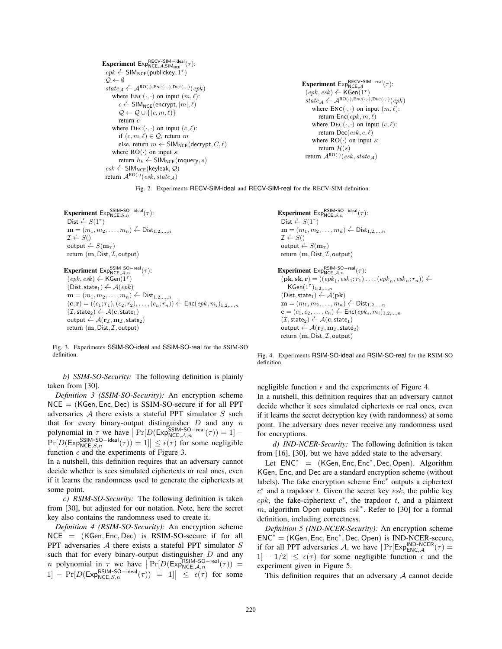```
Experiment Exp_{NCE, \mathcal{A}, SIM_{NCE}}^{RECV-SIM-ideal}(\tau):
 epk \leftarrow \text{SIM}_\text{NCE}(\text{publickey}, 1^{\tau})O \leftarrow \emptysetstate_{\mathcal{A}} \xleftarrow{r} \mathcal{A}^{\text{RO}(\cdot), \text{ENC}(\cdot, \cdot), \text{DEC}(\cdot, \cdot)}(epk)where \text{ENC}(\cdot, \cdot) on input (m, \ell):
            c \leftarrow \mathsf{SIM}_{\mathsf{NCE}}(\mathsf{encrypt}, |m|, \ell)\mathcal{Q} \leftarrow \mathcal{Q} \cup \{(c, m, \ell)\}\return c
      where DEC(\cdot, \cdot) on input (c, \ell):
           if (c, m, \ell) \in \mathcal{Q}, return m
           else, return m \leftarrow \text{SIM}_{\text{NCE}}(\text{decrypt}, C, \ell)where RO(\cdot) on input s:
            return h_k \stackrel{r}{\leftarrow} \mathsf{SIM_{NCE}}(\mathsf{roquery}, s)\mathit{esk} \xleftarrow{r} \mathsf{SIM}_{\mathsf{NCE}}(\mathsf{keyleak}, \mathcal{Q})return \mathcal{A}^{\text{RO}(\cdot)}(\textit{esk}, \textit{state}_{\mathcal{A}})
```

```
Experiment ExpNCE, \mathcal{A} (\tau):
 (epk, esk) \overset{r}{\leftarrow} KGen(1^{\tau})state_{\mathcal{A}} \xleftarrow{r} \mathcal{A}^{\text{RO}(\cdot),\text{Enc}(\cdot,\cdot),\text{Dec}(\cdot,\cdot)}(epk)where \text{ENC}(\cdot, \cdot) on input (m, \ell):
        return Enc(\text{epk}, m, \ell)where \text{DEC}(\cdot, \cdot) on input (c, \ell):
        return Dec(esk, c, \ell)where RO(\cdot) on input s:
        return \mathcal{H}(s)return \mathcal{A}^{\text{RO}(\cdot)}(e s k, state_{\mathcal{A}})
```
Fig. 2. Experiments RECV-SIM-ideal and RECV-SIM-real for the RECV-SIM definition.

```
Experiment Exp_{NCE, S, n}^{SSIM-SO-ideal}(\tau):
 Dist \stackrel{r}{\leftarrow} S(1^{\tau})\mathbf{m} = (m_1, m_2, \dots, m_n) \stackrel{r}{\leftarrow} \mathsf{Dist}_{1,2,\dots,n}\mathcal{I} \leftarrow S()output \stackrel{r}{\leftarrow} S(\mathbf{m}_\mathcal{I})return (m, Dist, \mathcal{I}, output)
```

```
Experiment Exp_{NCE, A, n}^{SSIM-SO-real}(\tau):
 (epk, esk) \overset{r}{\leftarrow} KGen(1^{\tau})(Dist, state_1) \overset{r}{\leftarrow} \mathcal{A}(epk)\mathbf{m} = (m_1, m_2, \ldots, m_n) \stackrel{\cdot}{\leftarrow} \mathsf{Dist}_{1,2,\ldots,n}(\mathbf{c}; \mathbf{r}) = ((c_1; r_1), (c_2; r_2), \ldots, (c_n; r_n)) \stackrel{\cdot}{\leftarrow} \mathsf{Enc}(epk, m_i)_{1,2,\ldots,n}(\mathcal{I}, \mathsf{state}_2) \overset{\cdot}{\leftarrow} \mathcal{A}(\mathbf{c}, \mathsf{state}_1)\text{output} \leftarrow \mathcal{A}(\mathbf{r}_{\mathcal{I}}, \mathbf{m}_{\mathcal{I}}, \text{state}_2)return (m, Dist, \mathcal{I}, output)
```
Fig. 3. Experiments SSIM-SO-ideal and SSIM-SO-real for the SSIM-SO definition.

*b) SSIM-SO-Security:* The following definition is plainly taken from [30].

*Definition 3 (SSIM-SO-Security):* An encryption scheme  $NCE = (KGen, Enc, Dec)$  is SSIM-SO-secure if for all PPT adversaries  $A$  there exists a stateful PPT simulator  $S$  such that for every binary-output distinguisher  $D$  and any  $n$ polynomial in  $\tau$  we have  $\Pr[D(\text{Exp}_{NCE,A,n}^{\text{SSIM-SO-real}}(\tau)) = 1]$  – Polynomial  $\Pi^{\gamma}$  we have  $|\Pi|D(\text{EXP}_{NCE,A,n}(\tau)) - 1|$  -<br>  $\Pr[D(\text{Exp}_{NCE,S,n}^{SSIM-SO-ideal}(\tau)) = 1] \leq \epsilon(\tau)$  for some negligible function  $\epsilon$  and the experiments of Figure 3.

In a nutshell, this definition requires that an adversary cannot decide whether is sees simulated ciphertexts or real ones, even if it learns the randomness used to generate the ciphertexts at some point.

*c) RSIM-SO-Security:* The following definition is taken from [30], but adjusted for our notation. Note, here the secret key also contains the randomness used to create it.

*Definition 4 (RSIM-SO-Security):* An encryption scheme  $NCE = (KGen, Enc, Dec)$  is RSIM-SO-secure if for all PPT adversaries A there exists a stateful PPT simulator S such that for every binary-output distinguisher  $D$  and any *n* polynomial in  $\tau$  we have  $\Pr[D(\text{Exp}_{NCE, A, n}^{RSIM-SO-real}(\tau))]$ *n* polynomial in 7 we have  $|I|L(Lxp_{NCE,A,n}$  (*τ*)) –<br>1] – Pr[D(Exp<sub>NCE,S,n</sub> (*τ*)) = 1]  $\leq \epsilon(\tau)$  for some

Experiment  $Exp_{NCE, S, n}^{RSIM-SO-ideal}(\tau)$ : Dist  $\stackrel{r}{\leftarrow} S(1^{\tau})$  $\mathbf{m} = (m_1, m_2, \dots, m_n) \stackrel{\cdot}{\leftarrow} \mathsf{Dist}_{1,2,\dots,n}$  $\mathcal{I} \leftarrow S()$ output  $\stackrel{r}{\leftarrow} S(\mathbf{m}_{\mathcal{I}})$ return  $(m, Dist, \mathcal{I}, output)$ 

Experiment  $Exp_{NCE, A, n}^{RSIM-SO-real}(\tau)$ :  $(\mathbf{pk}, \mathbf{sk}, \mathbf{r}) = ((epk_1, esk_1; r_1) \dots, (epk_n, esk_n; r_n)) \leftarrow$  $KGen(1<sup>\tau</sup>)<sub>1,2,...,n</sub>$ </sub>  $(Dist, state_1) \overset{r}{\leftarrow} \mathcal{A}(\mathbf{pk})$  $\mathbf{m} = (m_1, m_2, \ldots, m_n) \stackrel{\cdot}{\leftarrow} \mathsf{Dist}_{1,2,\ldots,n}$  ${\bf c} = (c_1, c_2, \ldots, c_n) \stackrel{r}{\leftarrow} {\sf Enc}(epk_i, m_i)_{1,2,\ldots,n}$  $(\mathcal{I}, \mathsf{state}_2) \overset{\text{\tiny{r}}}{\leftarrow} \mathcal{A}(\mathbf{c}, \mathsf{state}_1)$  $\text{output} \leftarrow \mathcal{A}(\mathbf{r}_{\mathcal{I}}, \mathbf{m}_{\mathcal{I}}, \text{state}_2)$ return  $(m, Dist, \mathcal{I}, output)$ 

Fig. 4. Experiments RSIM-SO-ideal and RSIM-SO-real for the RSIM-SO definition.

negligible function  $\epsilon$  and the experiments of Figure 4.

In a nutshell, this definition requires that an adversary cannot decide whether it sees simulated ciphertexts or real ones, even if it learns the secret decryption key (with randomness) at some point. The adversary does never receive any randomness used for encryptions.

*d) IND-NCER-Security:* The following definition is taken from [16], [30], but we have added state to the adversary.

Let ENC<sup>∗</sup> = (KGen, Enc, Enc<sup>∗</sup>, Dec, Open). Algorithm KGen, Enc, and Dec are a standard encryption scheme (without labels). The fake encryption scheme Enc<sup>∗</sup> outputs a ciphertext  $c^*$  and a trapdoor t. Given the secret key esk, the public key  $epk$ , the fake-ciphertext  $c^*$ , the trapdoor t, and a plaintext m, algorithm Open outputs  $\operatorname{esk}^*$ . Refer to [30] for a formal definition, including correctness.

*Definition 5 (IND-NCER-Security):* An encryption scheme  $ENC^* = (KGen, Enc, Enc^*, Dec, Open)$  is IND-NCER-secure, if for all PPT adversaries A, we have  $|Pr[Exp_{ENC,A}^{IND-NCER}(\tau)]$ 1] - 1/2|  $\leq \epsilon(\tau)$  for some negligible function  $\epsilon$  and the experiment given in Figure 5.

This definition requires that an adversary  $A$  cannot decide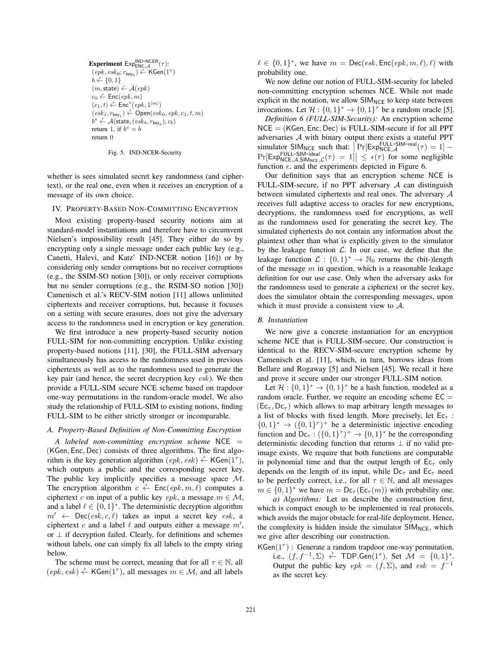Experiment  $\mathsf{Exp}_{\mathsf{ENC}\_\mathcal{A}}^{\mathsf{IND}\text{-}\mathsf{NCER}}(\tau)$ :  $(\overline{\mathit{epk}}, \mathit{esk}_0; r_{\mathsf{key}_0}) \overset{\text{r}}{\leftarrow} \mathsf{KGen}(1^\tau)$  $b \stackrel{r}{\leftarrow} \{0,1\}$  $(m,\textsf{state}) \overset{r}{\leftarrow} \mathcal{A}(\textit{epk})$  $c_0 \stackrel{r}{\leftarrow} \mathsf{Enc}(\mathit{epk}, m)$  $(c_1, t) \stackrel{r}{\leftarrow} \mathsf{Enc}^*(epk, 1^{|m|})$  $(\mathit{esk}_1, r_{\mathsf{key}_1}) \xleftarrow{\mathbf{r}} \mathsf{Open}(\mathit{esk}_0, \mathit{epk}, c_1, t, m)$  $b^* \leftarrow \mathcal{A}(\textsf{state},(\textit{esk}_b, r_{\textsf{key}_b}), c_b)$ return 1, if  $b^* = b$ return 0

#### Fig. 5. IND-NCER-Security

whether is sees simulated secret key randomness (and ciphertext), or the real one, even when it receives an encryption of a message of its own choice.

#### IV. PROPERTY-BASED NON-COMMITTING ENCRYPTION

Most existing property-based security notions aim at standard-model instantiations and therefore have to circumvent Nielsen's impossibility result [45]. They either do so by encrypting only a single message under each public key (e.g., Canetti, Halevi, and Katz' IND-NCER notion [16]) or by considering only sender corruptions but no receiver corruptions (e.g., the SSIM-SO notion [30]), or only receiver corruptions but no sender corruptions (e.g., the RSIM-SO notion [30]) Camenisch et al.'s RECV-SIM notion [11] allows unlimited ciphertexts and receiver corruptions, but, because it focuses on a setting with secure erasures, does not give the adversary access to the randomness used in encryption or key generation.

We first introduce a new property-based security notion FULL-SIM for non-committing encryption. Unlike existing property-based notions [11], [30], the FULL-SIM adversary simultaneously has access to the randomness used in previous ciphertexts as well as to the randomness used to generate the key pair (and hence, the secret decryption key esk). We then provide a FULL-SIM secure NCE scheme based on trapdoor one-way permutations in the random-oracle model. We also study the relationship of FULL-SIM to existing notions, finding FULL-SIM to be either strictly stronger or incomparable.

#### *A. Property-Based Definition of Non-Committing Encryption*

*A labeled non-committing encryption scheme* NCE = (KGen, Enc, Dec) consists of three algorithms. The first algorithm is the key generation algorithm  $(epk, esk) \leftarrow \mathsf{KGen}(1^{\tau}),$ which outputs a public and the corresponding secret key. The public key implicitly specifies a message space  $M$ . The encryption algorithm  $c \stackrel{r}{\leftarrow} \textsf{Enc}(epk, m, \ell)$  computes a ciphertext c on input of a public key epk, a message  $m \in \mathcal{M}$ , and a label  $\ell \in \{0,1\}^*$ . The deterministic decryption algorithm  $m' \leftarrow \text{Dec}(esk, c, \ell)$  takes as input a secret key esk, a ciphertext c and a label  $\ell$  and outputs either a message  $m'$ , or  $\perp$  if decryption failed. Clearly, for definitions and schemes without labels, one can simply fix all labels to the empty string below.

The scheme must be correct, meaning that for all  $\tau \in \mathbb{N}$ , all  $(epk, esk) \stackrel{r}{\leftarrow}$  KGen(1<sup> $\tau$ </sup>), all messages  $m \in \mathcal{M}$ , and all labels  $\ell \in \{0,1\}^*$ , we have  $m = \text{Dec}(esk, \text{Enc}(epk, m, \ell), \ell)$  with probability one.

We now define our notion of FULL-SIM-security for labeled non-committing encryption schemes NCE. While not made explicit in the notation, we allow  $SIM_{NCE}$  to keep state between invocations. Let  $\mathcal{H} : \{0,1\}^* \to \{0,1\}^{\tau}$  be a random oracle [5].

*Definition 6 (FULL-SIM-Security):* An encryption scheme NCE = (KGen, Enc, Dec) is FULL-SIM-secure if for all PPT adversaries A with binary output there exists a stateful PPT  $\lim_{\text{simulation}}$  Simulator SIM<sub>NCE</sub> such that:  $\Pr[\text{Exp}_{\text{NCE},\mathcal{A}}^{\text{FULL-SIM-real}}(\tau) = 1]$  – SIMULAOI SINNINCE SUCH LIAL | I I [LXPNCE, A (7) - 1] -<br>  $\Pr[\text{Exp}_{NCE, \mathcal{A}, \text{SIM}_{NCE}, \mathcal{L}}(\tau) = 1] \leq \epsilon(\tau)$  for some negligible function  $\epsilon$ , and the experiments depicted in Figure 6.

Our definition says that an encryption scheme NCE is FULL-SIM-secure, if no PPT adversary  $A$  can distinguish between simulated ciphertexts and real ones. The adversary A receives full adaptive access to oracles for new encryptions, decryptions, the randomness used for encryptions, as well as the randomness used for generating the secret key. The simulated ciphertexts do not contain any information about the plaintext other than what is explicitly given to the simulator by the leakage function  $\mathcal{L}$ . In our case, we define that the leakage function  $\mathcal{L} : \{0,1\}^* \to \mathbb{N}_0$  returns the (bit-)length of the message  $m$  in question, which is a reasonable leakage definition for our use case. Only when the adversary asks for the randomness used to generate a ciphertext or the secret key, does the simulator obtain the corresponding messages, upon which it must provide a consistent view to  $A$ .

#### *B. Instantiation*

We now give a concrete instantiation for an encryption scheme NCE that is FULL-SIM-secure. Our construction is identical to the RECV-SIM-secure encryption scheme by Camenisch et al. [11], which, in turn, borrows ideas from Bellare and Rogaway [5] and Nielsen [45]. We recall it here and prove it secure under our stronger FULL-SIM notion.

Let  $\mathcal{H} : \{0,1\}^* \to \{0,1\}^{\tau}$  be a hash function, modeled as a random oracle. Further, we require an encoding scheme  $EC =$  $(Ec_{\tau}, Dc_{\tau})$  which allows to map arbitrary length messages to a list of blocks with fixed length. More precisely, let  $\mathsf{Ec}_\tau$ :  ${0, 1}^* \rightarrow ({0, 1}^*)^+$  be a deterministic injective encoding function and  $Dc_\tau : (\{0,1\}^\tau)^+ \to \{0,1\}^*$  be the corresponding deterministic decoding function that returns  $\perp$  if no valid preimage exists. We require that both functions are computable in polynomial time and that the output length of  $\mathsf{Ec}_{\tau}$  only depends on the length of its input, while  $Dc<sub>\tau</sub>$  and  $Ec<sub>\tau</sub>$  need to be perfectly correct, i.e., for all  $\tau \in \mathbb{N}$ , and all messages  $m \in \{0,1\}^*$  we have  $m = Dc_\tau(Ec_\tau(m))$  with probability one.

*a) Algorithms:* Let us describe the construction first, which is compact enough to be implemented in real protocols, which avoids the major obstacle for real-life deployment. Hence, the complexity is hidden inside the simulator  $SIM_{NCE}$ , which we give after describing our construction.

KGen $(1^{\tau})$  : Generate a random trapdoor one-way permutation, i.e.,  $(f, f^{-1}, \Sigma) \leftarrow \text{TDP.Gen}(1^{\tau})$ . Set  $\mathcal{M} = \{0, 1\}^*$ . Output the public key  $epk = (f, \Sigma)$ , and  $esk = f^{-1}$ as the secret key.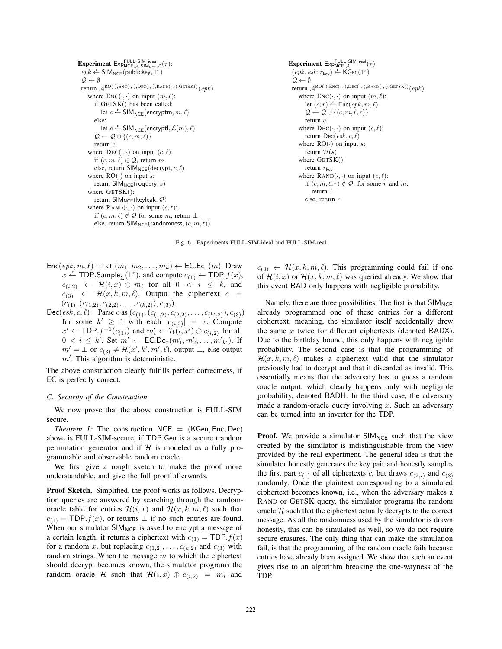```
Experiment Exp_{NCE, A, SIM-ideal}_{NCE, A, SIM_{NCE}, \mathcal{L}}(\tau):
 epk \leftarrow \text{SIM}_\text{NCE}(\text{publickey}, 1^{\tau})O \leftarrow \emptysetreturn \mathcal{A}^{RO(\cdot),\text{ENC}(\cdot,\cdot),\text{DEC}(\cdot,\cdot),\text{RAND}(\cdot,\cdot),\text{GETSK}(\) }where \text{Enc}(\cdot, \cdot) on input (m, \ell):
         if GETSK() has been called:
              let c \stackrel{r}{\leftarrow} \mathsf{SIM}_{\mathsf{NCE}}(\mathsf{encryption}, m, \ell)else:
              let c \stackrel{r}{\leftarrow} \mathsf{SIM}_{\mathsf{NCE}}(encryptl, \mathcal{L}(m), \ell)\mathcal{Q} \leftarrow \mathcal{Q} \cup \{(c, m, \ell)\}\return c
     where DEC(\cdot, \cdot) on input (c, \ell):
         if (c, m, \ell) \in \mathcal{Q}, return m
         else, return SIM<sub>NCE</sub>(decrypt, c, \ell)
     where RO(\cdot) on input s:
         return SIM_{NCE}(roquery, s)where GETSK():
        return \mathsf{SIM_{NCE}}(\mathsf{keyleak}, \mathcal{Q})where \text{RAND}(\cdot, \cdot) on input (c, \ell):
         if (c, m, \ell) \notin \mathcal{Q} for some m, return ⊥
         else, return SIM_{NCE}(randomness, (c, m, \ell))Experiment Exp_{NCE, \mathcal{A}}^{FULL-SIM-real}(\tau):
                                                                                                                                       O \leftarrow \emptysetreturn c
                                                                                                                                              return \mathcal{H}(s)return r_{\text{kev}}return ⊥
                                                                                                                                              else, return r
```
 $(\overline{epk}, \overline{esk}; r_{\text{key}}) \overset{r}{\leftarrow} \textsf{KGen}(1^{\tau})$ return  $\mathcal{A}^{\text{RO}(\cdot),\text{ENC}(\cdot,\cdot),\text{DEC}(\cdot,\cdot),\text{RAND}(\cdot,\cdot),\text{GETSK}(\text{)}$ where  $\text{Enc}(\cdot, \cdot)$  on input  $(m, \ell)$ : let  $(c; r) \stackrel{r}{\leftarrow} \mathsf{Enc}(epk, m, \ell)$  $\mathcal{Q} \leftarrow \mathcal{Q} \cup \{(c, m, \ell, r)\}$ where  $DEC(\cdot, \cdot)$  on input  $(c, \ell)$ : return  $Dec(esk, c, \ell)$ where  $RO(\cdot)$  on input s: where GETSK(): where  $\text{RAND}(\cdot, \cdot)$  on input  $(c, \ell)$ : if  $(c, m, \ell, r) \notin \mathcal{Q}$ , for some r and m,

Fig. 6. Experiments FULL-SIM-ideal and FULL-SIM-real.

- $Enc(epk, m, \ell)$ : Let  $(m_1, m_2, \ldots, m_k) \leftarrow EC.Ec_{\tau}(m)$ . Draw  $x \stackrel{r}{\leftarrow} \textsf{TDP.Sample}_{\Sigma}(1^{\tau}),$  and compute  $c_{(1)} \leftarrow \textsf{TDP}.f(x),$  $c_{(i,2)} \leftarrow \mathcal{H}(i,x) \oplus m_i$  for all  $0 \leq i \leq k$ , and  $c_{(3)}$   $\leftarrow$   $\mathcal{H}(x, k, m, \ell)$ . Output the ciphertext  $c =$  $(c_{(1)},(c_{(1,2)},c_{(2,2)},\ldots,c_{(k,2)}),c_{(3)}).$
- Dec( $\overline{esk}, c, \ell$ ) : Parse c as  $(c_{(1)}, (c_{(1,2)}, c_{(2,2)}, \ldots, c_{(k',2)}), c_{(3)})$ for some  $k' \geq 1$  with each  $|c_{(i,2)}| = \tau$ . Compute  $x' \leftarrow \textsf{TOP}.f^{-1}(c_{(1)})$  and  $m'_i \leftarrow \mathcal{H}(i,x') \oplus c_{(i,2)}$  for all  $0 < i \leq k'$ . Set  $m' \leftarrow \text{EC.Dc}_{\tau}(m'_1, m'_2, \ldots, m'_{k'})$ . If  $m' = \perp$  or  $c_{(3)} \neq H(x', k', m', \ell)$ , output  $\perp$ , else output  $m'$ . This algorithm is deterministic.

The above construction clearly fulfills perfect correctness, if EC is perfectly correct.

#### *C. Security of the Construction*

We now prove that the above construction is FULL-SIM secure.

*Theorem 1:* The construction  $NCE = (KGen, Enc, Dec)$ above is FULL-SIM-secure, if TDP.Gen is a secure trapdoor permutation generator and if  $H$  is modeled as a fully programmable and observable random oracle.

We first give a rough sketch to make the proof more understandable, and give the full proof afterwards.

Proof Sketch. Simplified, the proof works as follows. Decryption queries are answered by searching through the randomoracle table for entries  $\mathcal{H}(i, x)$  and  $\mathcal{H}(x, k, m, \ell)$  such that  $c_{(1)}$  = TDP.  $f(x)$ , or returns  $\perp$  if no such entries are found. When our simulator  $SIM_{NCE}$  is asked to encrypt a message of a certain length, it returns a ciphertext with  $c_{(1)} = \text{TOP}.f(x)$ for a random x, but replacing  $c_{(1,2)}, \ldots, c_{(k,2)}$  and  $c_{(3)}$  with random strings. When the message  $m$  to which the ciphertext should decrypt becomes known, the simulator programs the random oracle H such that  $\mathcal{H}(i,x) \oplus c_{(i,2)} = m_i$  and

 $c_{(3)} \leftarrow \mathcal{H}(x, k, m, \ell)$ . This programming could fail if one of  $\mathcal{H}(i, x)$  or  $\mathcal{H}(x, k, m, \ell)$  was queried already. We show that this event BAD only happens with negligible probability.

Namely, there are three possibilities. The first is that  $SIM_{NCF}$ already programmed one of these entries for a different ciphertext, meaning, the simulator itself accidentally drew the same  $x$  twice for different ciphertexts (denoted BADX). Due to the birthday bound, this only happens with negligible probability. The second case is that the programming of  $\mathcal{H}(x, k, m, \ell)$  makes a ciphertext valid that the simulator previously had to decrypt and that it discarded as invalid. This essentially means that the adversary has to guess a random oracle output, which clearly happens only with negligible probability, denoted BADH. In the third case, the adversary made a random-oracle query involving  $x$ . Such an adversary can be turned into an inverter for the TDP.

**Proof.** We provide a simulator  $SIM_{NCE}$  such that the view created by the simulator is indistinguishable from the view provided by the real experiment. The general idea is that the simulator honestly generates the key pair and honestly samples the first part  $c_{(1)}$  of all ciphertexts c, but draws  $c_{(2,i)}$  and  $c_{(3)}$ randomly. Once the plaintext corresponding to a simulated ciphertext becomes known, i.e., when the adversary makes a RAND or GETSK query, the simulator programs the random oracle  $H$  such that the ciphertext actually decrypts to the correct message. As all the randomness used by the simulator is drawn honestly, this can be simulated as well, so we do not require secure erasures. The only thing that can make the simulation fail, is that the programming of the random oracle fails because entries have already been assigned. We show that such an event gives rise to an algorithm breaking the one-wayness of the TDP.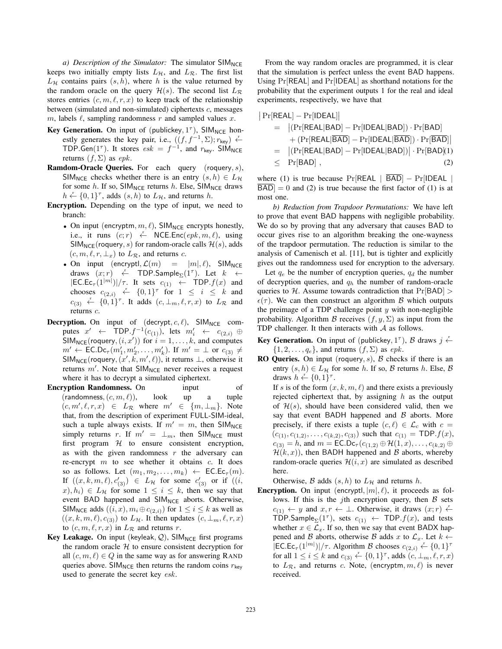*a) Description of the Simulator:* The simulator SIM<sub>NCE</sub> keeps two initially empty lists  $L_{\mathcal{H}}$ , and  $L_{\mathcal{R}}$ . The first list  $L_H$  contains pairs  $(s, h)$ , where h is the value returned by the random oracle on the query  $\mathcal{H}(s)$ . The second list  $L_{\mathcal{R}}$ stores entries  $(c, m, \ell, r, x)$  to keep track of the relationship between (simulated and non-simulated) ciphertexts  $c$ , messages m, labels  $\ell$ , sampling randomness r and sampled values x.

- Key Generation. On input of (publickey,  $1^{\tau}$ ), SIM<sub>NCE</sub> honestly generates the key pair, i.e.,  $((f, f^{-1}, \Sigma); r_{key}) \leftarrow$ TDP.Gen(1<sup> $\tau$ </sup>). It stores  $esk = f^{-1}$ , and  $r_{key}$ . SIM<sub>NCE</sub> returns  $(f, \Sigma)$  as epk.
- **Ramdom-Oracle Queries.** For each query (roquery,  $s$ ), SIM<sub>NCE</sub> checks whether there is an entry  $(s, h) \in L_{\mathcal{H}}$ for some h. If so,  $SIM_{NCE}$  returns h. Else,  $SIM_{NCE}$  draws  $h \leftarrow \{0, 1\}^{\tau}$ , adds  $(s, h)$  to  $L_{\mathcal{H}}$ , and returns h.
- Encryption. Depending on the type of input, we need to branch:
	- On input (encryptm,  $m, \ell$ ), SIM<sub>NCE</sub> encrypts honestly, i.e., it runs  $(c; r) \leftarrow NCE. Enc(epk, m, \ell)$ , using  $SIM_{NCE}(roquery, s)$  for random-oracle calls  $H(s)$ , adds  $(c, m, \ell, r, \perp_x)$  to  $L_{\mathcal{R}}$ , and returns c.
	- On input (encryptl,  $\mathcal{L}(m) = |m|, \ell$ ), SIM<sub>NCE</sub> draws  $(x;r) \quad \stackrel{r}{\leftarrow} \quad \textsf{TDP.Sample}_{\Sigma}(1^{\tau})$ . Let  $k \quad \leftarrow$  $|EC.Ec_{\tau}(1^{|m|})|/\tau$ . It sets  $c_{(1)} \leftarrow \text{TOP}.f(x)$  and chooses  $c_{(2,i)} \leftarrow \{0,1\}^{\tau}$  for  $1 \leq i \leq k$  and  $c_{(3)} \stackrel{r}{\leftarrow} \{0,1\}^{\tau}$ . It adds  $(c, \perp_m, \ell, r, x)$  to  $L_{\mathcal{R}}$  and returns c.
- **Decryption.** On input of  $(\text{decrypt}, c, \ell)$ , SIM<sub>NCE</sub> computes  $x' \leftarrow \text{TDP}.f^{-1}(c_{(1)})$ , lets  $m'_i \leftarrow c_{(2,i)} \oplus$  $\text{SIM}_{\text{NCE}}(\text{roquery}, (i, x'))$  for  $i = 1, ..., k$ , and computes  $m' \leftarrow \mathsf{EC}.\mathsf{Dc}_{\tau}(m'_1, m'_2, \dots, m'_k).$  If  $m' = \perp$  or  $c_{(3)} \neq$  $SIM_{NCE}(roquery, (x', k, m', \ell)),$  it returns  $\perp$ , otherwise it returns  $m'$ . Note that  $SIM_{NCE}$  never receives a request where it has to decrypt a simulated ciphertext.
- Encryption Randomness. On input of  $(randomness, (c, m, \ell)),$  look up a tuple  $(c, m', \ell, r, x) \in L_{\mathcal{R}}$  where  $m' \in \{m, \perp_m\}$ . Note that, from the description of experiment FULL-SIM-ideal, such a tuple always exists. If  $m' = m$ , then SIM<sub>NCE</sub> simply returns r. If  $m' = \perp_m$ , then SIM<sub>NCE</sub> must first program  $H$  to ensure consistent encryption, as with the given randomness  $r$  the adversary can re-encrypt  $m$  to see whether it obtains  $c$ . It does so as follows. Let  $(m_1, m_2, \ldots, m_k) \leftarrow \mathsf{EC}.\mathsf{Ec}_{\tau}(m)$ . If  $((x, k, m, \ell), c'_{(3)}) \in L_{\mathcal{H}}$  for some  $c'_{(3)}$  or if  $((i,$  $(x), h_i) \in L_H$  for some  $1 \leq i \leq k$ , then we say that event BAD happened and SIM<sub>NCE</sub> aborts. Otherwise, SIM<sub>NCE</sub> adds  $((i, x), m_i \oplus c_{(2,i)})$  for  $1 \le i \le k$  as well as  $((x, k, m, \ell), c_{3})$  to  $L_{\mathcal{H}}$ . It then updates  $(c, \perp_m, \ell, r, x)$ to  $(c, m, \ell, r, x)$  in  $L_{\mathcal{R}}$  and returns r.
- Key Leakage. On input (keyleak,  $Q$ ), SIM<sub>NCE</sub> first programs the random oracle  $H$  to ensure consistent decryption for all  $(c, m, \ell) \in Q$  in the same way as for answering RAND queries above. SIM<sub>NCE</sub> then returns the random coins  $r_{\text{key}}$ used to generate the secret key esk.

From the way random oracles are programmed, it is clear that the simulation is perfect unless the event BAD happens. Using Pr[REAL] and Pr[IDEAL] as shorthand notations for the probability that the experiment outputs 1 for the real and ideal experiments, respectively, we have that

$$
\begin{aligned} \big|\Pr[\mathsf{REAL}] - \Pr[\mathsf{IDEAL}] | \\ &= \big|\big(\Pr[\mathsf{REAL}|\mathsf{BAD}] - \Pr[\mathsf{IDEAL}|\mathsf{BAD}]\big) \cdot \Pr[\mathsf{BAD}] \\ &+ \big(\Pr[\mathsf{REAL}|\overline{\mathsf{BAD}}] - \Pr[\mathsf{IDEAL}|\overline{\mathsf{BAD}}]\big) \cdot \Pr[\overline{\mathsf{BAD}}] \big| \\ &= \big|\big(\Pr[\mathsf{REAL}|\mathsf{BAD}] - \Pr[\mathsf{IDEAL}|\mathsf{BAD}]\big) \big| \cdot \Pr[\mathsf{BAD}](1) \\ &\leq \Pr[\mathsf{BAD}] \;, \end{aligned}
$$

where (1) is true because  $Pr[REAL | \overline{BAD}] - Pr[IDEAL |]$  $\overline{BAD}|=0$  and (2) is true because the first factor of (1) is at most one.

*b) Reduction from Trapdoor Permutations:* We have left to prove that event BAD happens with negligible probability. We do so by proving that any adversary that causes BAD to occur gives rise to an algorithm breaking the one-wayness of the trapdoor permutation. The reduction is similar to the analysis of Camenisch et al. [11], but is tighter and explicitly gives out the randomness used for encryption to the adversary.

Let  $q_e$  be the number of encryption queries,  $q_d$  the number of decryption queries, and  $q<sub>h</sub>$  the number of random-oracle queries to H. Assume towards contradiction that  $Pr[BAD] >$  $\epsilon(\tau)$ . We can then construct an algorithm B which outputs the preimage of a TDP challenge point  $y$  with non-negligible probability. Algorithm B receives  $(f, y, \Sigma)$  as input from the TDP challenger. It then interacts with  $A$  as follows.

- **Key Generation.** On input of (publickey,  $1^{\tau}$ ), B draws  $j \leftarrow$  $\{1, 2, \ldots, q_e\}$ , and returns  $(f, \Sigma)$  as epk.
- **RO Queries.** On input (roquery, s),  $\beta$  checks if there is an entry  $(s, h) \in L_H$  for some h. If so, B returns h. Else, B draws  $h \stackrel{r}{\leftarrow} \{0, 1\}^{\tau}$ . If s is of the form  $(x, k, m, \ell)$  and there exists a previously rejected ciphertext that, by assigning  $h$  as the output
	- of  $\mathcal{H}(s)$ , should have been considered valid, then we say that event BADH happened and  $\beta$  aborts. More precisely, if there exists a tuple  $(c, \ell) \in \mathcal{L}_c$  with  $c =$  $(c_{(1)}, c_{(1,2)}, \ldots, c_{(k,2)}, c_{(3)})$  such that  $c_{(1)} = \textsf{TDP}.f(x)$ ,  $c_{(3)} = h$ , and  $m = \text{EC.Dc}_{\tau} (c_{(1,2)} \oplus \mathcal{H}(1,x), \ldots, c_{(k,2)} \oplus$  $\mathcal{H}(k, x)$ , then BADH happened and B aborts, whereby random-oracle queries  $\mathcal{H}(i, x)$  are simulated as described here.

Otherwise, B adds  $(s, h)$  to  $L_H$  and returns h.

**Encryption.** On input (encryptl,  $|m|, \ell$ ), it proceeds as follows. If this is the jth encryption query, then  $\beta$  sets  $c_{(1)} \leftarrow y$  and  $x, r \leftarrow \perp$ . Otherwise, it draws  $(x; r) \leftarrow$ TDP.Sample<sub> $\Sigma$ </sub>(1<sup> $\tau$ </sup>), sets  $c_{(1)} \leftarrow \text{TOP}.f(x)$ , and tests whether  $x \in \mathcal{L}_x$ . If so, then we say that event BADX happened and B aborts, otherwise B adds x to  $\mathcal{L}_x$ . Let  $k \leftarrow$  $\left[\mathsf{EC}\right]$ . Ec<sub> $\tau(1^{|m|})$ |/ $\tau$ . Algorithm  $\mathcal B$  chooses  $c_{(2,i)} \leftarrow \{0,1\}^{\tau}$ </sub> for all  $1 \leq i \leq k$  and  $c_{(3)} \leftarrow \{0,1\}^{\tau}$ , adds  $(c, \perp_m, \ell, r, x)$ to  $L_{\mathcal{R}}$ , and returns c. Note, (encryptm,  $m, \ell$ ) is never received.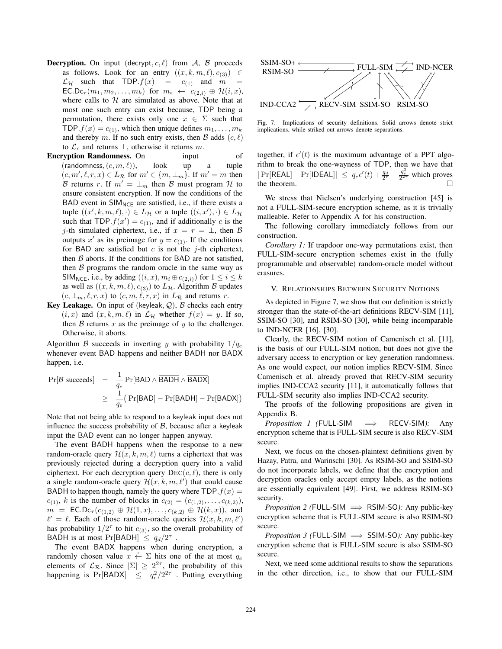- **Decryption.** On input (decrypt,  $c, l$ ) from  $A$ ,  $B$  proceeds as follows. Look for an entry  $((x, k, m, \ell), c_{(3)}) \in$  $\mathcal{L}_{\mathcal{H}}$  such that TDP.  $f(x) = c_{(1)}$  and  $m =$  $\mathsf{EC}.\mathsf{Dc}_{\tau}(m_1,m_2,\ldots,m_k)$  for  $m_i \leftarrow c_{(2,i)} \oplus \mathcal{H}(i,x)$ , where calls to  $H$  are simulated as above. Note that at most one such entry can exist because, TDP being a permutation, there exists only one  $x \in \Sigma$  such that TDP.  $f(x) = c_{(1)}$ , which then unique defines  $m_1, \ldots, m_k$ and thereby m. If no such entry exists, then B adds  $(c, \ell)$ to  $\mathcal{L}_c$  and returns  $\perp$ , otherwise it returns m.
- **Encryption Randomness.** On input of  $($ randomness,  $(c, m, \ell)$ ), look up a tuple  $(c, m', \ell, r, x) \in L_{\mathcal{R}}$  for  $m' \in \{m, \perp_m\}$ . If  $m' = m$  then B returns r. If  $m' = \perp_m$  then B must program H to ensure consistent encryption. If now the conditions of the BAD event in  $SIM_{NCE}$  are satisfied, i.e., if there exists a tuple  $((x', k, m, \ell), \cdot) \in L_{\mathcal{H}}$  or a tuple  $((i, x'), \cdot) \in L_{\mathcal{H}}$ such that TDP.  $f(x') = c_{(1)}$ , and if additionally c is the j-th simulated ciphertext, i.e., if  $x = r = \perp$ , then B outputs x' as its preimage for  $y = c_{(1)}$ . If the conditions for BAD are satisfied but  $c$  is not the j-th ciphertext, then  $\beta$  aborts. If the conditions for BAD are not satisfied, then  $\beta$  programs the random oracle in the same way as SIM<sub>NCE</sub>, i.e., by adding  $((i, x), m_i \oplus c_{(2,i)})$  for  $1 \le i \le k$ as well as  $((x, k, m, \ell), c_{(3)})$  to  $L_H$ . Algorithm B updates  $(c, \perp_m, \ell, r, x)$  to  $(c, m, \ell, r, x)$  in  $L_{\mathcal{R}}$  and returns r.
- Key Leakage. On input of (keyleak,  $Q$ ),  $B$  checks each entry  $(i, x)$  and  $(x, k, m, \ell)$  in  $\mathcal{L}_{\mathcal{H}}$  whether  $f(x) = y$ . If so, then  $\beta$  returns  $x$  as the preimage of  $y$  to the challenger. Otherwise, it aborts.

Algorithm B succeeds in inverting y with probability  $1/q_e$ whenever event BAD happens and neither BADH nor BADX happen, i.e.

$$
\begin{array}{rcl} \Pr[\mathcal{B}\text{ succeeds}] & = & \frac{1}{q_e} \Pr[\text{BAD} \land \overline{\text{BADH}} \land \overline{\text{BADX}}] \\ & \geq & \frac{1}{q_e} \big( \Pr[\text{BAD}] - \Pr[\text{BADH}] - \Pr[\text{BADX}] \big) \end{array}
$$

Note that not being able to respond to a keyleak input does not influence the success probability of  $\beta$ , because after a keyleak input the BAD event can no longer happen anyway.

The event BADH happens when the response to a new random-oracle query  $\mathcal{H}(x, k, m, \ell)$  turns a ciphertext that was previously rejected during a decryption query into a valid ciphertext. For each decryption query  $DEC(c, \ell)$ , there is only a single random-oracle query  $\mathcal{H}(x, k, m, \ell')$  that could cause BADH to happen though, namely the query where  $\text{TOP}.f(x) =$  $c_{(1)}$ , k is the number of blocks in  $c_{(2)} = (c_{(1,2)}, \ldots, c_{(k,2)}),$  $m = \mathsf{EC}.\mathsf{Dc}_{\tau}(c_{(1,2)} \oplus \mathcal{H}(1,x), \ldots, c_{(k,2)} \oplus \mathcal{H}(k,x)),$  and  $\ell' = \ell$ . Each of those random-oracle queries  $\mathcal{H}(x, k, m, \ell')$ has probability  $1/2^{\tau}$  to hit  $c_{(3)}$ , so the overall probability of BADH is at most Pr[BADH]  $\leq q_d/2^{\tau}$ .

The event BADX happens when during encryption, a randomly chosen value  $x \stackrel{r}{\leftarrow} \Sigma$  hits one of the at most  $q_e$ elements of  $\mathcal{L}_{\mathcal{R}}$ . Since  $|\Sigma| \geq 2^{2\tau}$ , the probability of this happening is  $Pr[BADX] \leq q_e^2/2^{2\tau}$ . Putting everything



Fig. 7. Implications of security definitions. Solid arrows denote strict implications, while striked out arrows denote separations.

together, if  $\epsilon'(t)$  is the maximum advantage of a PPT algorithm to break the one-wayness of TDP, then we have that  $|\Pr[\text{REAL}] - \Pr[\text{IDEAL}]| \leq q_e \epsilon'(t) + \frac{q_d}{2\tau} + \frac{q_e^2}{2^{2\tau}}$  which proves the theorem.

We stress that Nielsen's underlying construction [45] is not a FULL-SIM-secure encryption scheme, as it is trivially malleable. Refer to Appendix A for his construction.

The following corollary immediately follows from our construction.

*Corollary 1:* If trapdoor one-way permutations exist, then FULL-SIM-secure encryption schemes exist in the (fully programmable and observable) random-oracle model without erasures.

### V. RELATIONSHIPS BETWEEN SECURITY NOTIONS

As depicted in Figure 7, we show that our definition is strictly stronger than the state-of-the-art definitions RECV-SIM [11], SSIM-SO [30], and RSIM-SO [30], while being incomparable to IND-NCER [16], [30].

Clearly, the RECV-SIM notion of Camenisch et al. [11], is the basis of our FULL-SIM notion, but does not give the adversary access to encryption or key generation randomness. As one would expect, our notion implies RECV-SIM. Since Camenisch et al. already proved that RECV-SIM security implies IND-CCA2 security [11], it automatically follows that FULL-SIM security also implies IND-CCA2 security.

The proofs of the following propositions are given in Appendix B.

*Proposition 1 (*FULL*-*SIM =⇒ RECV*-*SIM*):* Any encryption scheme that is FULL-SIM secure is also RECV-SIM secure.

Next, we focus on the chosen-plaintext definitions given by Hazay, Patra, and Warinschi [30]. As RSIM-SO and SSIM-SO do not incorporate labels, we define that the encryption and decryption oracles only accept empty labels, as the notions are essentially equivalent [49]. First, we address RSIM-SO security.

*Proposition 2 (*FULL*-*SIM =⇒ RSIM*-*SO*):* Any public-key encryption scheme that is FULL-SIM secure is also RSIM-SO secure.

*Proposition 3 (FULL-SIM ⇒* SSIM-SO): Any public-key encryption scheme that is FULL-SIM secure is also SSIM-SO secure.

Next, we need some additional results to show the separations in the other direction, i.e., to show that our FULL-SIM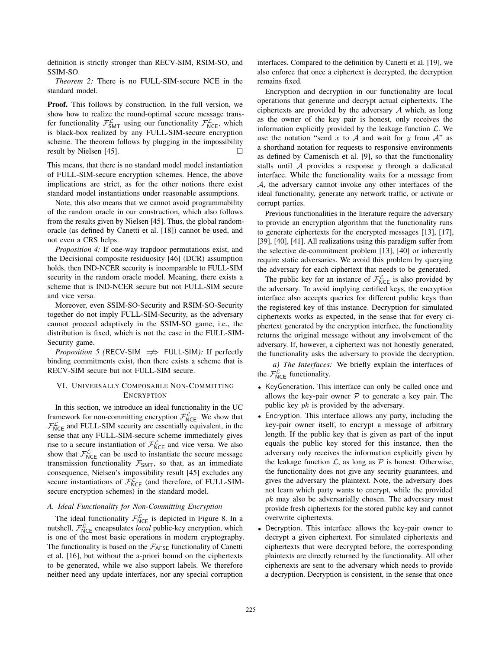definition is strictly stronger than RECV-SIM, RSIM-SO, and SSIM-SO.

*Theorem 2:* There is no FULL-SIM-secure NCE in the standard model.

Proof. This follows by construction. In the full version, we show how to realize the round-optimal secure message transfer functionality  $\mathcal{F}^{\mathcal{L}}_{SMT}$  using our functionality  $\mathcal{F}^{\mathcal{L}}_{NCE}$ , which is black-box realized by any FULL-SIM-secure encryption scheme. The theorem follows by plugging in the impossibility result by Nielsen [45].  $\Box$ 

This means, that there is no standard model model instantiation of FULL-SIM-secure encryption schemes. Hence, the above implications are strict, as for the other notions there exist standard model instantiations under reasonable assumptions.

Note, this also means that we cannot avoid programmability of the random oracle in our construction, which also follows from the results given by Nielsen [45]. Thus, the global randomoracle (as defined by Canetti et al. [18]) cannot be used, and not even a CRS helps.

*Proposition 4:* If one-way trapdoor permutations exist, and the Decisional composite residuosity [46] (DCR) assumption holds, then IND-NCER security is incomparable to FULL-SIM security in the random oracle model. Meaning, there exists a scheme that is IND-NCER secure but not FULL-SIM secure and vice versa.

Moreover, even SSIM-SO-Security and RSIM-SO-Security together do not imply FULL-SIM-Security, as the adversary cannot proceed adaptively in the SSIM-SO game, i.e., the distribution is fixed, which is not the case in the FULL-SIM-Security game.

*Proposition 5 (RECV-SIM ⇒* FULL-SIM): If perfectly binding commitments exist, then there exists a scheme that is RECV-SIM secure but not FULL-SIM secure.

## VI. UNIVERSALLY COMPOSABLE NON-COMMITTING **ENCRYPTION**

In this section, we introduce an ideal functionality in the UC framework for non-committing encryption  $\mathcal{F}_{NCE}^{\mathcal{L}}$ . We show that  $\mathcal{F}_{NCE}^{\mathcal{L}}$  and FULL-SIM security are essentially equivalent, in the sense that any FULL-SIM-secure scheme immediately gives rise to a secure instantiation of  $\mathcal{F}^{\mathcal{L}}_{NCE}$  and vice versa. We also show that  $\mathcal{F}_{NCE}^{\mathcal{L}}$  can be used to instantiate the secure message transmission functionality  $\mathcal{F}_{SMT}$ , so that, as an immediate consequence, Nielsen's impossibility result [45] excludes any secure instantiations of  $\mathcal{F}_{NCE}^{\mathcal{L}}$  (and therefore, of FULL-SIMsecure encryption schemes) in the standard model.

## *A. Ideal Functionality for Non-Committing Encryption*

The ideal functionality  $\mathcal{F}_{NCE}^{\mathcal{L}}$  is depicted in Figure 8. In a nutshell,  $\mathcal{F}_{NCE}^{\mathcal{L}}$  encapsulates *local* public-key encryption, which is one of the most basic operations in modern cryptography. The functionality is based on the  $\mathcal{F}_{\text{AFSE}}$  functionality of Canetti et al. [16], but without the a-priori bound on the ciphertexts to be generated, while we also support labels. We therefore neither need any update interfaces, nor any special corruption

interfaces. Compared to the definition by Canetti et al. [19], we also enforce that once a ciphertext is decrypted, the decryption remains fixed.

Encryption and decryption in our functionality are local operations that generate and decrypt actual ciphertexts. The ciphertexts are provided by the adversary A which, as long as the owner of the key pair is honest, only receives the information explicitly provided by the leakage function  $\mathcal{L}$ . We use the notation "send x to A and wait for y from  $A$ " as a shorthand notation for requests to responsive environments as defined by Camenisch et al. [9], so that the functionality stalls until  $A$  provides a response  $y$  through a dedicated interface. While the functionality waits for a message from A, the adversary cannot invoke any other interfaces of the ideal functionality, generate any network traffic, or activate or corrupt parties.

Previous functionalities in the literature require the adversary to provide an encryption algorithm that the functionality runs to generate ciphertexts for the encrypted messages [13], [17], [39], [40], [41]. All realizations using this paradigm suffer from the selective de-commitment problem [13], [40] or inherently require static adversaries. We avoid this problem by querying the adversary for each ciphertext that needs to be generated.

The public key for an instance of  $\mathcal{F}_{NCE}^{\mathcal{L}}$  is also provided by the adversary. To avoid implying certified keys, the encryption interface also accepts queries for different public keys than the registered key of this instance. Decryption for simulated ciphertexts works as expected, in the sense that for every ciphertext generated by the encryption interface, the functionality returns the original message without any involvement of the adversary. If, however, a ciphertext was not honestly generated, the functionality asks the adversary to provide the decryption.

*a) The Interfaces:* We briefly explain the interfaces of the  $\mathcal{F}_{\text{NCE}}^{\mathcal{L}}$  functionality.

- KeyGeneration. This interface can only be called once and allows the key-pair owner  $P$  to generate a key pair. The public key  $pk$  is provided by the adversary.
- Encryption. This interface allows any party, including the key-pair owner itself, to encrypt a message of arbitrary length. If the public key that is given as part of the input equals the public key stored for this instance, then the adversary only receives the information explicitly given by the leakage function  $\mathcal{L}$ , as long as  $\mathcal P$  is honest. Otherwise, the functionality does not give any security guarantees, and gives the adversary the plaintext. Note, the adversary does not learn which party wants to encrypt, while the provided pk may also be adversarially chosen. The adversary must provide fresh ciphertexts for the stored public key and cannot overwrite ciphertexts.
- Decryption. This interface allows the key-pair owner to decrypt a given ciphertext. For simulated ciphertexts and ciphertexts that were decrypted before, the corresponding plaintexts are directly returned by the functionality. All other ciphertexts are sent to the adversary which needs to provide a decryption. Decryption is consistent, in the sense that once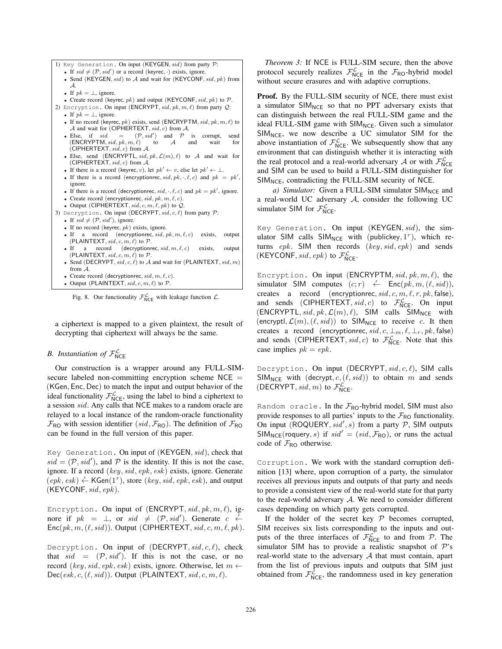1) Key Generation. On input (KEYGEN, sid) from party P:

- If  $sid \neq (\mathcal{P}, sid')$  or a record (keyrec,  $\cdot$ ) exists, ignore.
- Send (KEYGEN,  $sid$ ) to  $A$  and wait for (KEYCONF,  $sid, pk$ ) from A.
- If  $pk = \perp$ , ignore.
- Create record (keyrec,  $pk$ ) and output (KEYCONF,  $sid, pk$ ) to  $P$ .
- 2) Encryption. On input (ENCRYPT,  $sid, pk, m, \ell$ ) from party  $Q$ : • If  $pk = \perp$ , ignore.
	- If no record (keyrec,  $pk$ ) exists, send (ENCRYPTM,  $sid, pk, m, \ell$ ) to *A* and wait for (CIPHERTEXT,  $sid, c$ ) from *A*.
	- Else, if  $sid = (\mathcal{P}, sid')$ <br>(ENCRYPTM,  $sid, pk, m, \ell$ ) to ) and  $P$  is corrupt, send  $(\mathsf{ENCRYPTM}, \mathit{sid}, \mathit{pk}, \mathit{m}, \ell)$  $A$  and wait for (CIPHERTEXT,  $sid, c$ ) from A.
	- Else, send (ENCRYPTL,  $sid, pk, \mathcal{L}(m), \ell$ ) to A and wait for (CIPHERTEXT,  $sid, c$ ) from  $A$ .
	- If there is a record (keyrec, v), let  $pk' \leftarrow v$ , else let  $pk' \leftarrow \perp$ .
	- If there is a record (encryptionrec,  $sid, pk, \cdot, \ell, c$ ) and  $pk = pk'$ , ignore.
	- If there is a record (decryptionrec,  $sid, \cdot, \ell, c$ ) and  $pk = pk'$ , ignore.
	- Create record (encryptionrec,  $sid, pk, m, \ell, c$ ).
	- Output (CIPHERTEXT,  $sid, c, m, \ell, pk$ ) to  $Q$ .
- 3) Decryption. On input (DECRYPT,  $sid, c, \ell$ ) from party  $P$ :
	- If  $sid \neq (\mathcal{P}, sid')$ , ignore.
	- If no record (keyrec,  $pk$ ) exists, ignore.
	- If a record (encryptionrec,  $sid, pk, m, \ell, c$ ) exists, output (PLAINTEXT,  $sid, c, m, \ell$ ) to  $P$ .
	- If a record (decryptionrec,  $sid, m, \ell, c$ ) exists, output (PLAINTEXT,  $sid, c, m, \ell$ ) to  $P$ .
	- Send (DECRYPT,  $sid, c, \ell$ ) to A and wait for (PLAINTEXT,  $sid, m$ ) from A.
	- Create record (decryptionrec,  $sid, m, \ell, c$ ). • Output (PLAINTEXT,  $sid, c, m, \ell$ ) to  $P$ .

Fig. 8. Our functionality  $\mathcal{F}_{NCE}^{\mathcal{L}}$  with leakage function  $\mathcal{L}$ .

a ciphertext is mapped to a given plaintext, the result of decrypting that ciphertext will always be the same.

## *B.* Instantiation of  $\mathcal{F}_{\text{NCE}}^{\mathcal{L}}$

Our construction is a wrapper around any FULL-SIMsecure labeled non-committing encryption scheme NCE = (KGen, Enc, Dec) to match the input and output behavior of the ideal functionality  $\mathcal{F}_{NCE}^{\mathcal{L}}$ , using the label to bind a ciphertext to a session sid. Any calls that NCE makes to a random oracle are relayed to a local instance of the random-oracle functionality  $\mathcal{F}_{\text{RO}}$  with session identifier (sid,  $\mathcal{F}_{\text{RO}}$ ). The definition of  $\mathcal{F}_{\text{RO}}$ can be found in the full version of this paper.

Key Generation. On input of (KEYGEN, sid), check that  $sid = (\mathcal{P}, sid')$ , and  $\mathcal P$  is the identity. If this is not the case, ignore. If a record (key, sid, epk, esk) exists, ignore. Generate  $(epk, esk) \leftarrow \textsf{KGen}(1^{\tau})$ , store  $(key, sid, epk, esk)$ , and output  $(KEYCONF, sid, epk).$ 

Encryption. On input of (ENCRYPT,  $sid, pk, m, \ell$ ), ignore if  $pk = \perp$ , or  $sid \neq (\mathcal{P}, sid')$ . Generate  $c \leftarrow$  $Enc(pk, m, (\ell, sid))$ . Output (CIPHERTEXT, sid, c, m,  $\ell$ , pk).

Decryption. On input of (DECRYPT,  $sid, c, l$ ), check that  $sid = (\mathcal{P}, sid')$ . If this is not the case, or no record (key, sid, epk, esk) exists, ignore. Otherwise, let  $m \leftarrow$  $Dec(esk, c, (\ell, sid))$ . Output (PLAINTEXT, sid, c, m,  $\ell$ ).

*Theorem 3:* If NCE is FULL-SIM secure, then the above protocol securely realizes  $\mathcal{F}_{NCE}^{\mathcal{L}}$  in the  $\mathcal{F}_{RO}$ -hybrid model without secure erasures and with adaptive corruptions.

**Proof.** By the FULL-SIM security of NCE, there must exist a simulator  $SIM_{NCE}$  so that no PPT adversary exists that can distinguish between the real FULL-SIM game and the ideal FULL-SIM game with  $SIM_{NCE}$ . Given such a simulator  $SIM_{NCE}$ , we now describe a UC simulator SIM for the above instantiation of  $\mathcal{F}_{NCE}^{\mathcal{L}}$ . We subsequently show that any environment that can distinguish whether it is interacting with the real protocol and a real-world adversary A or with  $\mathcal{F}_{NCE}^{\mathcal{L}}$ and SIM can be used to build a FULL-SIM distinguisher for  $SIM_{NCE}$ , contradicting the FULL-SIM security of NCE.

*a)* Simulator: Given a FULL-SIM simulator  $SIM_{NCE}$  and a real-world UC adversary A, consider the following UC simulator SIM for  $\mathcal{F}_{NCE}^{\mathcal{L}}$ .

Key Generation. On input (KEYGEN, sid), the simulator SIM calls  $SIM_{NCE}$  with (publickey,  $1^{\tau}$ ), which returns  $epk$ . SIM then records  $(key, sid, epk)$  and sends (KEYCONF, sid, epk) to  $\mathcal{F}_{NCE}^{\mathcal{L}}$ .

Encryption. On input (ENCRYPTM,  $sid, pk, m, \ell$ ), the simulator SIM computes  $(c; r) \leftarrow$  Enc $(pk, m, (\ell, sid))$ , creates a record (encryptionrec,  $sid, c, m, \ell, r, pk, false$ ), and sends (CIPHERTEXT,  $sid, c$ ) to  $\mathcal{F}_{NCE}^{\mathcal{L}}$ . On input  $(ENCRYPTL, sid, pk, \mathcal{L}(m), \ell)$ , SIM calls SIM<sub>NCE</sub> with (encryptl,  $\mathcal{L}(m)$ ,  $(\ell, sid)$ ) to SIM<sub>NCE</sub> to receive c. It then creates a record (encryptionrec,  $sid, c, \perp_m, \ell, \perp_r, pk, false)$ and sends (CIPHERTEXT, sid, c) to  $\mathcal{F}_{NCE}^{\mathcal{L}}$ . Note that this case implies  $pk = epk$ .

Decryption. On input (DECRYPT,  $sid, c, \ell$ ), SIM calls SIM<sub>NCE</sub> with  $(decrypt, c, (\ell, sid))$  to obtain m and sends (DECRYPT, sid, m) to  $\mathcal{F}_{\mathsf{NCE}}^{\mathcal{L}}$ .

Random oracle. In the  $\mathcal{F}_{RO}$ -hybrid model, SIM must also provide responses to all parties' inputs to the  $\mathcal{F}_{\text{RO}}$  functionality. On input (ROQUERY,  $sid', s$ ) from a party  $P$ , SIM outputs  $SIM_{NCE}(roquery, s)$  if  $sid' = (sid, \mathcal{F}_{RO})$ , or runs the actual code of  $\mathcal{F}_{\text{RO}}$  otherwise.

Corruption. We work with the standard corruption definition [13] where, upon corruption of a party, the simulator receives all previous inputs and outputs of that party and needs to provide a consistent view of the real-world state for that party to the real-world adversary A. We need to consider different cases depending on which party gets corrupted.

If the holder of the secret key  $P$  becomes corrupted, SIM receives six lists corresponding to the inputs and outputs of the three interfaces of  $\mathcal{F}_{NCE}^{\mathcal{L}}$  to and from  $\mathcal{P}$ . The simulator SIM has to provide a realistic snapshot of  $\mathcal{P}$ 's real-world state to the adversary A that must contain, apart from the list of previous inputs and outputs that SIM just obtained from  $\mathcal{F}_{NCE}^{\mathcal{L}}$ , the randomness used in key generation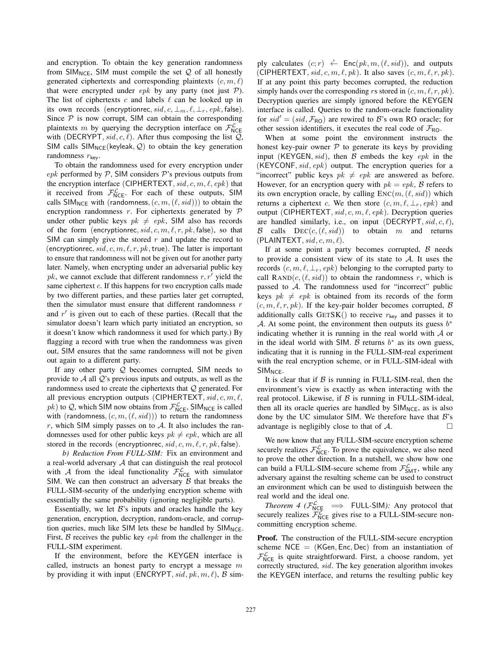and encryption. To obtain the key generation randomness from  $SIM_{NCE}$ , SIM must compile the set  $Q$  of all honestly generated ciphertexts and corresponding plaintexts  $(c, m, \ell)$ that were encrypted under  $epk$  by any party (not just  $P$ ). The list of ciphertexts  $c$  and labels  $\ell$  can be looked up in its own records (encryptionrec,  $sid, c, \perp_m, \ell, \perp_r, epk, \text{false})$ . Since  $P$  is now corrupt, SIM can obtain the corresponding plaintexts m by querying the decryption interface on  $\mathcal{F}_{\text{NCE}}^{\mathcal{L}}$ with (DECRYPT, sid, c,  $\ell$ ). After thus composing the list  $Q$ , SIM calls  $SIM_{NCE}(keyleak, Q)$  to obtain the key generation randomness  $r_{\text{key}}$ .

To obtain the randomness used for every encryption under epk performed by  $P$ , SIM considers  $P$ 's previous outputs from the encryption interface (CIPHERTEXT,  $sid, c, m, \ell, epk$ ) that it received from  $\mathcal{F}_{NCE}^{\mathcal{L}}$ . For each of these outputs, SIM calls SIM<sub>NCE</sub> with (randomness,  $(c, m, (\ell, sid))$ ) to obtain the encryption randomness  $r$ . For ciphertexts generated by  $\mathcal P$ under other public keys  $pk \neq epk$ , SIM also has records of the form (encryptionrec,  $sid, c, m, \ell, r, pk, false$ ), so that SIM can simply give the stored  $r$  and update the record to (encryptionrec, sid, c, m,  $\ell$ , r, pk, true). The latter is important to ensure that randomness will not be given out for another party later. Namely, when encrypting under an adversarial public key  $pk$ , we cannot exclude that different randomness  $r, r'$  yield the same ciphertext c. If this happens for two encryption calls made by two different parties, and these parties later get corrupted, then the simulator must ensure that different randomness  $r$ and  $r'$  is given out to each of these parties. (Recall that the simulator doesn't learn which party initiated an encryption, so it doesn't know which randomness it used for which party.) By flagging a record with true when the randomness was given out, SIM ensures that the same randomness will not be given out again to a different party.

If any other party  $Q$  becomes corrupted, SIM needs to provide to  $A$  all  $Q$ 's previous inputs and outputs, as well as the randomness used to create the ciphertexts that  $Q$  generated. For all previous encryption outputs (CIPHERTEXT,  $sid, c, m, \ell$ ,  $pk$ ) to Q, which SIM now obtains from  $\mathcal{F}_{NCE}^{\mathcal{L}}$ , SIM<sub>NCE</sub> is called with (randomness,  $(c, m, (\ell, sid))$ ) to return the randomness r, which SIM simply passes on to  $A$ . It also includes the randomnesses used for other public keys  $pk \neq epk$ , which are all stored in the records (encryptionrec,  $sid, c, m, \ell, r, pk, false$ ).

*b) Reduction From FULL-SIM:* Fix an environment and a real-world adversary  $A$  that can distinguish the real protocol with A from the ideal functionality  $\mathcal{F}_{NCE}^{\mathcal{L}}$  with simulator SIM. We can then construct an adversary  $\beta$  that breaks the FULL-SIM-security of the underlying encryption scheme with essentially the same probability (ignoring negligible parts).

Essentially, we let  $B$ 's inputs and oracles handle the key generation, encryption, decryption, random-oracle, and corruption queries, much like SIM lets these be handled by  $SIM_{NCE}$ . First,  $\beta$  receives the public key  $epk$  from the challenger in the FULL-SIM experiment.

If the environment, before the KEYGEN interface is called, instructs an honest party to encrypt a message  $m$ by providing it with input (ENCRYPT,  $sid, pk, m, \ell$ ),  $\beta$  sim-

ply calculates  $(c; r) \stackrel{r}{\leftarrow} \text{Enc}(pk, m, (\ell, sid))$ , and outputs (CIPHERTEXT, sid, c, m,  $\ell$ , pk). It also saves  $(c, m, \ell, r, pk)$ . If at any point this party becomes corrupted, the reduction simply hands over the corresponding rs stored in  $(c, m, \ell, r, pk)$ . Decryption queries are simply ignored before the KEYGEN interface is called. Queries to the random-oracle functionality for  $sid' = (sid, \mathcal{F}_{RO})$  are rewired to B's own RO oracle; for other session identifiers, it executes the real code of  $\mathcal{F}_{\text{RO}}$ .

When at some point the environment instructs the honest key-pair owner  $P$  to generate its keys by providing input (KEYGEN, sid), then  $\beta$  embeds the key epk in the (KEYCONF,  $sid$ ,  $epk$ ) output. The encryption queries for a "incorrect" public keys  $pk \neq epk$  are answered as before. However, for an encryption query with  $pk = epk$ ,  $\beta$  refers to its own encryption oracle, by calling  $Enc(m, (\ell, sid))$  which returns a ciphertext c. We then store  $(c, m, \ell, \perp_r, epk)$  and output (CIPHERTEXT,  $sid, c, m, \ell, epk$ ). Decryption queries are handled similarly, i.e., on input (DECRYPT,  $sid, c, \ell$ ), B calls  $DEC(c, (\ell, sid))$  to obtain m and returns  $(PLAINTEXT, sid, c, m, \ell).$ 

If at some point a party becomes corrupted,  $\beta$  needs to provide a consistent view of its state to A. It uses the records  $(c, m, \ell, \perp_r, e p k)$  belonging to the corrupted party to call  $\text{RAND}(c, (\ell, sid))$  to obtain the randomness r, which is passed to  $A$ . The randomness used for "incorrect" public keys  $pk \neq epk$  is obtained from its records of the form  $(c, m, \ell, r, pk)$ . If the key-pair holder becomes corrupted, B additionally calls  $GETSK()$  to receive  $r_{key}$  and passes it to A. At some point, the environment then outputs its guess  $b^*$ indicating whether it is running in the real world with  $A$  or in the ideal world with SIM. B returns  $b^*$  as its own guess, indicating that it is running in the FULL-SIM-real experiment with the real encryption scheme, or in FULL-SIM-ideal with SIM<sub>NCE</sub>.

It is clear that if  $\beta$  is running in FULL-SIM-real, then the environment's view is exactly as when interacting with the real protocol. Likewise, if  $\beta$  is running in FULL-SIM-ideal, then all its oracle queries are handled by  $SIM_{NCE}$ , as is also done by the UC simulator SIM. We therefore have that  $B$ 's advantage is negligibly close to that of  $\mathcal{A}$ .

We now know that any FULL-SIM-secure encryption scheme securely realizes  $\mathcal{F}_{\text{NCE}}^{\mathcal{L}}$ . To prove the equivalence, we also need to prove the other direction. In a nutshell, we show how one can build a FULL-SIM-secure scheme from  $\mathcal{F}^{\mathcal{L}}_{SMT}$ , while any adversary against the resulting scheme can be used to construct an environment which can be used to distinguish between the real world and the ideal one.

 $Theorem 4$  ( $\mathcal{F}_{NCE}^{\mathcal{L}} \implies$  FULL-SIM): Any protocol that securely realizes  $\mathcal{F}_{NCE}^{\mathcal{L}}$  gives rise to a FULL-SIM-secure noncommitting encryption scheme.

Proof. The construction of the FULL-SIM-secure encryption scheme  $NCE = (KGen, Enc, Dec)$  from an instantiation of  $\mathcal{F}_{NCE}^{\mathcal{L}}$  is quite straightforward. First, a choose random, yet correctly structured, sid. The key generation algorithm invokes the KEYGEN interface, and returns the resulting public key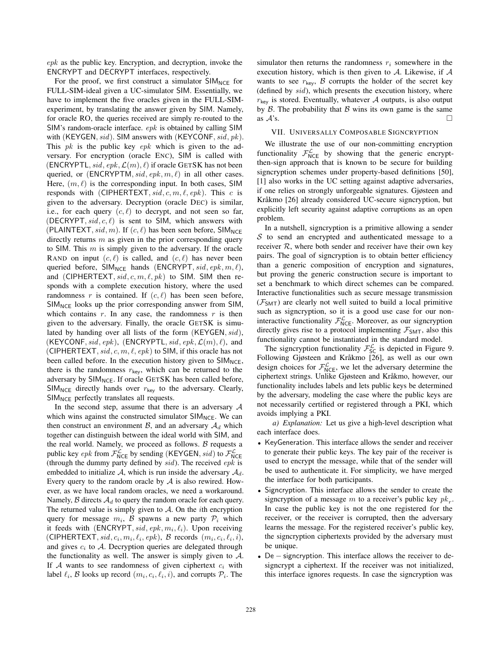$epk$  as the public key. Encryption, and decryption, invoke the ENCRYPT and DECRYPT interfaces, respectively.

For the proof, we first construct a simulator  $SIM_{NCE}$  for FULL-SIM-ideal given a UC-simulator SIM. Essentially, we have to implement the five oracles given in the FULL-SIMexperiment, by translating the answer given by SIM. Namely, for oracle RO, the queries received are simply re-routed to the SIM's random-oracle interface. epk is obtained by calling SIM with (KEYGEN,  $sid$ ). SIM answers with (KEYCONF,  $sid, pk$ ). This  $pk$  is the public key  $epk$  which is given to the adversary. For encryption (oracle ENC), SIM is called with (ENCRYPTL, sid, epk,  $\mathcal{L}(m)$ ,  $\ell$ ) if oracle GETSK has not been queried, or (ENCRYPTM,  $sid, epk, m, \ell$ ) in all other cases. Here,  $(m, \ell)$  is the corresponding input. In both cases, SIM responds with (CIPHERTEXT,  $sid, c, m, \ell, epk$ ). This c is given to the adversary. Decryption (oracle DEC) is similar, i.e., for each query  $(c, \ell)$  to decrypt, and not seen so far, (DECRYPT,  $sid, c, l$ ) is sent to SIM, which answers with (PLAINTEXT, sid, m). If  $(c, \ell)$  has been seen before, SIM<sub>NCE</sub> directly returns  $m$  as given in the prior corresponding query to SIM. This  $m$  is simply given to the adversary. If the oracle RAND on input  $(c, \ell)$  is called, and  $(c, \ell)$  has never been queried before, SIM<sub>NCE</sub> hands (ENCRYPT, sid, epk, m,  $\ell$ ), and (CIPHERTEXT, sid, c, m,  $\ell$ , pk) to SIM. SIM then responds with a complete execution history, where the used randomness r is contained. If  $(c, \ell)$  has been seen before,  $SIM_{NCE}$  looks up the prior corresponding answer from SIM, which contains  $r$ . In any case, the randomness  $r$  is then given to the adversary. Finally, the oracle GETSK is simulated by handing over all lists of the form (KEYGEN, sid), (KEYCONF, sid, epk), (ENCRYPTL, sid, epk,  $\mathcal{L}(m)$ ,  $\ell$ ), and (CIPHERTEXT,  $sid, c, m, \ell, epk$ ) to SIM, if this oracle has not been called before. In the execution history given to  $SIM_{NCE}$ , there is the randomness  $r_{\text{key}}$ , which can be returned to the adversary by  $SIM_{NCE}$ . If oracle GETSK has been called before,  $SIM_{NCE}$  directly hands over  $r_{key}$  to the adversary. Clearly,  $SIM_{NCE}$  perfectly translates all requests.

In the second step, assume that there is an adversary  $A$ which wins against the constructed simulator  $SIM_{NCE}$ . We can then construct an environment B, and an adversary  $\mathcal{A}_d$  which together can distinguish between the ideal world with SIM, and the real world. Namely, we proceed as follows.  $B$  requests a public key epk from  $\mathcal{F}_{NCE}^{\mathcal{L}}$  by sending (KEYGEN, sid) to  $\mathcal{F}_{NCE}^{\mathcal{L}}$ (through the dummy party defined by  $sid$ ). The received  $epk$  is embedded to initialize A, which is run inside the adversary  $A_d$ . Every query to the random oracle by  $A$  is also rewired. However, as we have local random oracles, we need a workaround. Namely,  $\beta$  directs  $\mathcal{A}_d$  to query the random oracle for each query. The returned value is simply given to  $A$ . On the *i*th encryption query for message  $m_i$ ,  $\beta$  spawns a new party  $\mathcal{P}_i$  which it feeds with (ENCRYPT, sid, epk,  $m_i, \ell_i$ ). Upon receiving (CIPHERTEXT, sid,  $c_i$ ,  $m_i$ ,  $\ell_i$ , epk), B records  $(m_i, c_i, \ell_i, i)$ , and gives  $c_i$  to A. Decryption queries are delegated through the functionality as well. The answer is simply given to  $\mathcal{A}$ . If  $A$  wants to see randomness of given ciphertext  $c_i$  with label  $\ell_i$ , B looks up record  $(m_i, c_i, \ell_i, i)$ , and corrupts  $\mathcal{P}_i$ . The

simulator then returns the randomness  $r_i$  somewhere in the execution history, which is then given to  $A$ . Likewise, if  $A$ wants to see  $r_{\text{key}}$ ,  $\beta$  corrupts the holder of the secret key (defined by  $sid$ ), which presents the execution history, where  $r_{\text{key}}$  is stored. Eventually, whatever A outputs, is also output by  $\beta$ . The probability that  $\beta$  wins its own game is the same as  $A$ 's.  $\Box$ 

## VII. UNIVERSALLY COMPOSABLE SIGNCRYPTION

We illustrate the use of our non-committing encryption functionality  $\mathcal{F}_{NCE}^{\mathcal{L}}$  by showing that the generic encryptthen-sign approach that is known to be secure for building signcryption schemes under property-based definitions [50], [1] also works in the UC setting against adaptive adversaries, if one relies on strongly unforgeable signatures. Gjøsteen and Kråkmo [26] already considered UC-secure signcryption, but explicitly left security against adaptive corruptions as an open problem.

In a nutshell, signcryption is a primitive allowing a sender  $S$  to send an encrypted and authenticated message to a receiver  $R$ , where both sender and receiver have their own key pairs. The goal of signcryption is to obtain better efficiency than a generic composition of encryption and signatures, but proving the generic construction secure is important to set a benchmark to which direct schemes can be compared. Interactive functionalities such as secure message transmission  $(\mathcal{F}_{SMT})$  are clearly not well suited to build a local primitive such as signcryption, so it is a good use case for our noninteractive functionality  $\mathcal{F}_{NCE}^{\mathcal{L}}$ . Moreover, as our signcryption directly gives rise to a protocol implementing  $\mathcal{F}_{SMT}$ , also this functionality cannot be instantiated in the standard model.

The signcryption functionality  $\mathcal{F}_{SC}^{\mathcal{L}}$  is depicted in Figure 9. Following Gjøsteen and Kråkmo [26], as well as our own design choices for  $\mathcal{F}_{NCE}^{\mathcal{L}}$ , we let the adversary determine the ciphertext strings. Unlike Gjøsteen and Kråkmo, however, our functionality includes labels and lets public keys be determined by the adversary, modeling the case where the public keys are not necessarily certified or registered through a PKI, which avoids implying a PKI.

*a) Explanation:* Let us give a high-level description what each interface does.

- KeyGeneration. This interface allows the sender and receiver to generate their public keys. The key pair of the receiver is used to encrypt the message, while that of the sender will be used to authenticate it. For simplicity, we have merged the interface for both participants.
- Signcryption. This interface allows the sender to create the signcryption of a message m to a receiver's public key  $pk<sub>r</sub>$ . In case the public key is not the one registered for the receiver, or the receiver is corrupted, then the adversary learns the message. For the registered receiver's public key, the signcryption ciphertexts provided by the adversary must be unique.
- De − signcryption. This interface allows the receiver to designcrypt a ciphertext. If the receiver was not initialized, this interface ignores requests. In case the signcryption was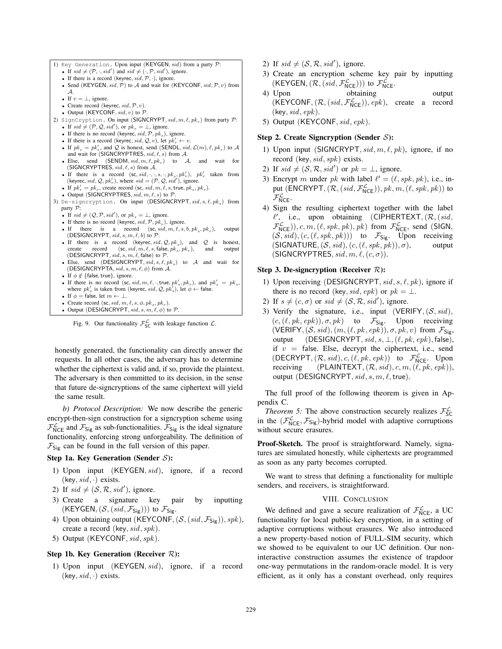1) Key Generation. Upon input (KEYGEN,  $sid$ ) from a party  $P$ : • If  $sid \neq (\mathcal{P}, \cdot, sid')$  and  $sid \neq (\cdot, \mathcal{P}, sid')$ , ignore. • If there is a record (keyrec,  $sid$ ,  $P$ , ·), ignore. • Send (KEYGEN,  $sid$ ,  $\mathcal{P})$  to  $\mathcal{A}$  and wait for (KEYCONF,  $sid$ ,  $\mathcal{P}$ ,  $v$ ) from A. • If  $v = \perp$ , ignore. • Create record (keyrec,  $sid, \mathcal{P}, v$ ). • Output (KEYCONF,  $sid, v$ ) to  $P$ . 2) SignCryption. On input (SIGNCRYPT,  $sid, m, \ell, pk_r$ ) from party  $P$ : • If  $sid \neq (\mathcal{P}, \mathcal{Q}, sid')$ , or  $pk_r = \bot$ , ignore. • If there is no record (keyrec,  $sid, \mathcal{P}, pk_s$ ), ignore. • If there is a record (keyrec, sid,  $Q, v$ ), let  $pk'_r \leftarrow v$ . • If  $pk_r = pk'_r$ , and  $Q$  is honest, send (SENDL,  $sid$ ,  $\mathcal{L}(m)$ ,  $\ell$ ,  $pk_r$ ) to  $\mathcal A$  and wait for (SIGNCRYPTRES,  $sid$ ,  $\ell$ ,  $s$ ) from  $\mathcal A$ . • Else, send (SENDM,  $sid, m, \ell, pk_r$ ) to A, and wait for (SIGNCRYPTRES,  $sid, \ell, s$ ) from A. • If there is a record  $(\textsf{sc}, \textsf{sid}, \cdot, \cdot, s, \cdot, \textsf{pk}_s, \textsf{pk}'_r)$ ,  $\textsf{pk}'_r$  taken from (keyrec,  $\textsf{sid}, \textsf{Q}, \textsf{pk}'_r$ ), where  $\textsf{sid} = (\mathcal{P}, \mathcal{Q}, \textsf{sid}'),$  ignore. - If  $pk'_r = pk_r$ , create record (sc, sid, m,  $\ell$ , s, true,  $pk_s$ ,  $pk_r$ ). • Output (SIGNCRYPTRES,  $sid, m, \ell, s)$  to  $P$ . 3) De-signcryption. On input (DESIGNCRYPT,  $sid, s, \ell, pk_s$ ) from party  $\overline{P}$ : • If  $sid \neq (Q, P, sid')$ , or  $pk_s = \bot$ , ignore. • If there is no record (keyrec,  $sid$ ,  $P$ ,  $pk$ <sub>r</sub>), ignore.<br>• If there is a record (sc,  $sid$ ,  $m$ ,  $\ell$ ,  $s$ , • If there is a record  $(\mathsf{sc}, \mathit{sid}, m, \ell, s, b, pk_s, pk_r)$ , output (DESIGNCRYPT,  $\mathit{sid}, s, m, \ell, b)$  to  $\mathcal{P}$ . • If there is a record (keyrec, sid, Q, pk<sub>s</sub>), and Q is honest, create record (sc, sid, m,  $\ell$ , s, false,  $pk_s$ ,  $pk_s$ ), and output create record  $(\textsf{sc}, \textit{sid}, \textit{m}, \ell, \textit{s}, \textsf{false}, \textit{pk}_s, \textit{pk}_r),$  and output (DESIGNCRYPT,  $sid, s, m, \ell$ , false) to  $P$ . • Else, send (DESIGNCRYPT,  $sid, s, \ell, pk_s$ ) to A and wait for (DESIGNCRYPTA,  $sid, s, m, \ell, \phi$ ) from  $\mathcal{A}$ . • If  $\phi \notin \{\text{false}, \text{true}\}, \text{ ignore.}$ • If there is no record  $(\textsf{sc}, sid, m, \ell, \cdot, \textsf{true}, \textit{pk}_s', \textit{pk}_r)$ , and  $\textit{pk}_s' = \textit{pk}_s$ , where  $pk'_s$  is taken from (keyrec,  $sid$ ,  $Q$ ,  $pk'_s$ ), let  $\phi \leftarrow$  false. • If  $\phi =$  false, let  $m \leftarrow 1$ .

• Create record  $(\textsf{sc}, sid, m, \ell, s, \phi, pk_s, pk_r).$ • Output (DESIGNCRYPT,  $sid, s, m, \ell, \phi$ ) to  $P$ .

Fig. 9. Our functionality  $\mathcal{F}_{SC}^{\mathcal{L}}$  with leakage function  $\mathcal{L}$ .

honestly generated, the functionality can directly answer the requests. In all other cases, the adversary has to determine whether the ciphertext is valid and, if so, provide the plaintext. The adversary is then committed to its decision, in the sense that future de-signcryptions of the same ciphertext will yield the same result.

*b) Protocol Description:* We now describe the generic encrypt-then-sign construction for a signcryption scheme using  $\mathcal{F}_{\text{NCE}}^{\mathcal{L}}$  and  $\mathcal{F}_{\text{Sig}}$  as sub-functionalities.  $\mathcal{F}_{\text{Sig}}$  is the ideal signature functionality, enforcing strong unforgeability. The definition of  $\mathcal{F}_{\text{Sig}}$  can be found in the full version of this paper.

#### Step 1a. Key Generation (Sender  $S$ ):

- 1) Upon input (KEYGEN, sid), ignore, if a record  $(key, sid, \cdot)$  exists.
- 2) If  $sid \neq (\mathcal{S}, \mathcal{R}, sid')$ , ignore.
- 3) Create a signature key pair by inputting  $(KEYGEN, (\mathcal{S}, (sid, \mathcal{F}_{Sig})))$  to  $\mathcal{F}_{Sig}.$
- 4) Upon obtaining output (KEYCONF,  $(S, (sid, \mathcal{F}_{Sig})), spk),$ create a record (key, sid, spk).
- 5) Output (KEYCONF, sid, spk).

## Step 1b. Key Generation (Receiver  $R$ ):

1) Upon input (KEYGEN, sid), ignore, if a record (key,  $sid$ , ·) exists.

- 2) If  $sid \neq (\mathcal{S}, \mathcal{R}, sid')$ , ignore.
- 3) Create an encryption scheme key pair by inputting  $(KEYGEN, (\mathcal{R}, (\text{sid}, \mathcal{F}_{NCE}^{\mathcal{L}})))$  to  $\mathcal{F}_{NCE}^{\mathcal{L}}$ .
- 4) Upon obtaining output  $(KEYCONF, (\mathcal{R}, (sid, \mathcal{F}_{NCE}^{\mathcal{L}})), epk),$  create a record  $(key, sid, epk).$
- 5) Output (KEYCONF, sid, epk).

### Step 2. Create Signcryption (Sender  $S$ ):

- 1) Upon input (SIGNCRYPT,  $sid, m, \ell, pk$ ), ignore, if no record (key, sid, spk) exists.
- 2) If  $sid \neq (\mathcal{S}, \mathcal{R}, sid')$  or  $pk = \perp$ , ignore.
- 3) Encrypt m under pk with label  $\ell' = (\ell, spk, pk)$ , i.e., input (ENCRYPT,  $(R, (sid, \mathcal{F}_{NCE}^{\mathcal{L}})), pk, m, (\ell, spk, pk))$  to  $\mathcal{F}^{\mathcal{L}}_{\mathsf{NCE}}$ .
- 4) Sign the resulting ciphertext together with the label  $\ell'$ , i.e., upon obtaining (CIPHERTEXT,  $(\mathcal{R}, (sid,$  $\mathcal{F}_{\mathsf{NCE}}^{\mathcal{L}}$ ),  $c, m, (\ell, spk, pk), pk)$  from  $\mathcal{F}_{\mathsf{NCE}}^{\mathcal{L}}$ , send (SIGN,  $(S, sid), (c, (\ell, spk, pk)))$  to  $\mathcal{F}_{Sig}$ . Upon receiving  $(SIGNATURE, (S, sid), (c, (\ell, spk, pk)), \sigma)$ , output (SIGNCRYPTRES,  $sid, m, \ell, (c, \sigma)$ ).

### Step 3. De-signcryption (Receiver  $R$ ):

- 1) Upon receiving (DESIGNCRYPT,  $sid, s, \ell, pk$ ), ignore if there is no record (key, sid, epk) or  $pk = \perp$ .
- 2) If  $s \neq (c, \sigma)$  or  $sid \neq (S, \mathcal{R}, sid')$ , ignore.
- 3) Verify the signature, i.e., input (VERIFY,  $(S, sid)$ ,  $(c, (\ell, pk, epk)), \sigma, pk)$  to  $\mathcal{F}_{\text{Sig}}$ . Upon receiving  $(VERIFY, (S, sid), (m, (\ell, pk, epk)), \sigma, pk, v)$  from  $\mathcal{F}_{\text{Sig}}$ , output (DESIGNCRYPT,  $sid, s, \perp, (\ell, pk, epk)$ , false), if  $v =$  false. Else, decrypt the ciphertext, i.e., send  $(\mathsf{DECRYPT}, (\mathcal{R}, sid), c, (\ell, pk, epk))$  to  $\mathcal{F}^{\mathcal{L}}_{\mathsf{NCE}}$ . Upon receiving (PLAINTEXT,  $(R, sid), c, m, (\ell, pk, epk)$ ), output (DESIGNCRYPT,  $sid, s, m, \ell$ , true).

The full proof of the following theorem is given in Appendix C.

*Theorem 5:* The above construction securely realizes  $\mathcal{F}_{SC}^{\mathcal{L}}$ in the  $(\mathcal{F}_{NCE}^{\mathcal{L}}, \mathcal{F}_{Sig})$ -hybrid model with adaptive corruptions without secure erasures.

Proof-Sketch. The proof is straightforward. Namely, signatures are simulated honestly, while ciphertexts are programmed as soon as any party becomes corrupted.

We want to stress that defining a functionality for multiple senders, and receivers, is straightforward.

## VIII. CONCLUSION

We defined and gave a secure realization of  $\mathcal{F}_{NCE}^{\mathcal{L}}$ , a UC functionality for local public-key encryption, in a setting of adaptive corruptions without erasures. We also introduced a new property-based notion of FULL-SIM security, which we showed to be equivalent to our UC definition. Our noninteractive construction assumes the existence of trapdoor one-way permutations in the random-oracle model. It is very efficient, as it only has a constant overhead, only requires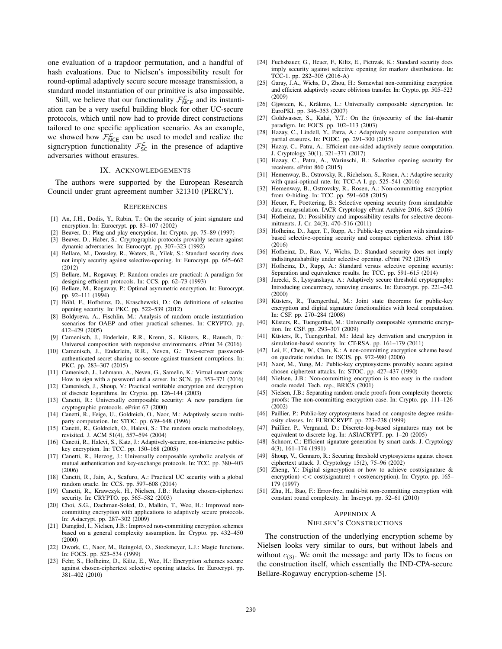one evaluation of a trapdoor permutation, and a handful of hash evaluations. Due to Nielsen's impossibility result for round-optimal adaptively secure secure message transmission, a standard model instantiation of our primitive is also impossible.

Still, we believe that our functionality  $\mathcal{F}_{NCE}^{\mathcal{L}}$  and its instantiation can be a very useful building block for other UC-secure protocols, which until now had to provide direct constructions tailored to one specific application scenario. As an example, we showed how  $\mathcal{F}_{NCE}^{\mathcal{L}}$  can be used to model and realize the signcryption functionality  $\mathcal{F}_{\mathsf{SC}}^{\mathcal{L}}$  in the presence of adaptive adversaries without erasures.

#### IX. ACKNOWLEDGEMENTS

The authors were supported by the European Research Council under grant agreement number 321310 (PERCY).

#### **REFERENCES**

- [1] An, J.H., Dodis, Y., Rabin, T.: On the security of joint signature and encryption. In: Eurocrypt. pp. 83–107 (2002)
- Beaver, D.: Plug and play encryption. In: Crypto. pp. 75-89 (1997)
- [3] Beaver, D., Haber, S.: Cryptographic protocols provably secure against dynamic adversaries. In: Eurocrypt. pp. 307–323 (1992)
- [4] Bellare, M., Dowsley, R., Waters, B., Yilek, S.: Standard security does not imply security against selective-opening. In: Eurocrypt. pp. 645–662 (2012)
- [5] Bellare, M., Rogaway, P.: Random oracles are practical: A paradigm for designing efficient protocols. In: CCS. pp. 62–73 (1993)
- [6] Bellare, M., Rogaway, P.: Optimal asymmetric encryption. In: Eurocrypt. pp. 92–111 (1994)
- [7] Böhl, F., Hofheinz, D., Kraschewski, D.: On definitions of selective opening security. In: PKC. pp. 522–539 (2012)
- [8] Boldyreva, A., Fischlin, M.: Analysis of random oracle instantiation scenarios for OAEP and other practical schemes. In: CRYPTO. pp. 412–429 (2005)
- [9] Camenisch, J., Enderlein, R.R., Krenn, S., Küsters, R., Rausch, D.: Universal composition with responsive environments. ePrint 34 (2016)
- [10] Camenisch, J., Enderlein, R.R., Neven, G.: Two-server passwordauthenticated secret sharing uc-secure against transient corruptions. In: PKC. pp. 283–307 (2015)
- [11] Camenisch, J., Lehmann, A., Neven, G., Samelin, K.: Virtual smart cards: How to sign with a password and a server. In: SCN. pp. 353–371 (2016)
- [12] Camenisch, J., Shoup, V.: Practical verifiable encryption and decryption of discrete logarithms. In: Crypto. pp. 126–144 (2003)
- [13] Canetti, R.: Universally composable security: A new paradigm for cryptographic protocols. ePrint 67 (2000)
- [14] Canetti, R., Feige, U., Goldreich, O., Naor, M.: Adaptively secure multiparty computation. In: STOC. pp. 639–648 (1996)
- [15] Canetti, R., Goldreich, O., Halevi, S.: The random oracle methodology, revisited. J. ACM 51(4), 557–594 (2004)
- [16] Canetti, R., Halevi, S., Katz, J.: Adaptively-secure, non-interactive publickey encryption. In: TCC. pp. 150–168 (2005)
- [17] Canetti, R., Herzog, J.: Universally composable symbolic analysis of mutual authentication and key-exchange protocols. In: TCC. pp. 380–403 (2006)
- [18] Canetti, R., Jain, A., Scafuro, A.: Practical UC security with a global random oracle. In: CCS. pp. 597–608 (2014)
- [19] Canetti, R., Krawczyk, H., Nielsen, J.B.: Relaxing chosen-ciphertext security. In: CRYPTO. pp. 565–582 (2003)
- [20] Choi, S.G., Dachman-Soled, D., Malkin, T., Wee, H.: Improved noncommitting encryption with applications to adaptively secure protocols. In: Asiacrypt. pp. 287–302 (2009)
- [21] Damgård, I., Nielsen, J.B.: Improved non-committing encryption schemes based on a general complexity assumption. In: Crypto. pp. 432–450 (2000)
- [22] Dwork, C., Naor, M., Reingold, O., Stockmeyer, L.J.: Magic functions. In: FOCS. pp. 523–534 (1999)
- [23] Fehr, S., Hofheinz, D., Kiltz, E., Wee, H.: Encryption schemes secure against chosen-ciphertext selective opening attacks. In: Eurocrypt. pp. 381–402 (2010)
- [24] Fuchsbauer, G., Heuer, F., Kiltz, E., Pietrzak, K.: Standard security does imply security against selective opening for markov distributions. In: TCC-1. pp. 282–305 (2016-A)
- [25] Garay, J.A., Wichs, D., Zhou, H.: Somewhat non-committing encryption and efficient adaptively secure oblivious transfer. In: Crypto. pp. 505–523 (2009)
- [26] Gjøsteen, K., Kråkmo, L.: Universally composable signcryption. In: EuroPKI. pp. 346–353 (2007)
- [27] Goldwasser, S., Kalai, Y.T.: On the (in)security of the fiat-shamir paradigm. In: FOCS. pp. 102–113 (2003)
- [28] Hazay, C., Lindell, Y., Patra, A.: Adaptively secure computation with partial erasures. In: PODC. pp. 291–300 (2015)
- [29] Hazay, C., Patra, A.: Efficient one-sided adaptively secure computation. J. Cryptology 30(1), 321–371 (2017)
- [30] Hazay, C., Patra, A., Warinschi, B.: Selective opening security for receivers. ePrint 860 (2015)
- [31] Hemenway, B., Ostrovsky, R., Richelson, S., Rosen, A.: Adaptive security with quasi-optimal rate. In: TCC-A I. pp. 525–541 (2016)
- [32] Hemenway, B., Ostrovsky, R., Rosen, A.: Non-committing encryption from Φ-hiding. In: TCC. pp. 591–608 (2015)
- [33] Heuer, F., Poettering, B.: Selective opening security from simulatable data encapsulation. IACR Cryptology ePrint Archive 2016, 845 (2016)
- [34] Hofheinz, D.: Possibility and impossibility results for selective decommitments. J. Cr. 24(3), 470–516 (2011)
- [35] Hofheinz, D., Jager, T., Rupp, A.: Public-key encryption with simulationbased selective-opening security and compact ciphertexts. ePrint 180 (2016)
- [36] Hofheinz, D., Rao, V., Wichs, D.: Standard security does not imply indistinguishability under selective opening. ePrint 792 (2015)
- Hofheinz, D., Rupp, A.: Standard versus selective opening security: Separation and equivalence results. In: TCC. pp. 591–615 (2014)
- [38] Jarecki, S., Lysyanskaya, A.: Adaptively secure threshold cryptography: Introducing concurrency, removing erasures. In: Eurocrypt. pp. 221–242 (2000)
- [39] Küsters, R., Tuengerthal, M.: Joint state theorems for public-key encryption and digital signature functionalities with local computation. In: CSF. pp. 270–284 (2008)
- [40] Küsters, R., Tuengerthal, M.: Universally composable symmetric encryption. In: CSF. pp. 293–307 (2009)
- [41] Küsters, R., Tuengerthal, M.: Ideal key derivation and encryption in simulation-based security. In: CT-RSA. pp. 161–179 (2011)
- [42] Lei, F., Chen, W., Chen, K.: A non-committing encryption scheme based on quadratic residue. In: ISCIS. pp. 972–980 (2006)
- [43] Naor, M., Yung, M.: Public-key cryptosystems provably secure against chosen ciphertext attacks. In: STOC. pp. 427–437 (1990)
- [44] Nielsen, J.B.: Non-committing encryption is too easy in the random oracle model. Tech. rep., BRICS (2001)
- [45] Nielsen, J.B.: Separating random oracle proofs from complexity theoretic proofs: The non-committing encryption case. In: Crypto. pp. 111–126 (2002)
- [46] Paillier, P.: Public-key cryptosystems based on composite degree residuosity classes. In: EUROCRYPT. pp. 223–238 (1999)
- [47] Paillier, P., Vergnaud, D.: Discrete-log-based signatures may not be equivalent to discrete log. In: ASIACRYPT. pp. 1–20 (2005)
- [48] Schnorr, C.: Efficient signature generation by smart cards. J. Cryptology 4(3), 161–174 (1991)
- [49] Shoup, V., Gennaro, R.: Securing threshold cryptosystems against chosen ciphertext attack. J. Cryptology 15(2), 75–96 (2002)
- [50] Zheng, Y.: Digital signcryption or how to achieve cost(signature & encryption)  $<<$  cost(signature) + cost(encryption). In: Crypto. pp. 165– 179 (1997)
- [51] Zhu, H., Bao, F.: Error-free, multi-bit non-committing encryption with constant round complexity. In: Inscrypt. pp. 52–61 (2010)

## APPENDIX A

#### NIELSEN'S CONSTRUCTIONS

The construction of the underlying encryption scheme by Nielsen looks very similar to ours, but without labels and without  $c_{(3)}$ . We omit the message and party IDs to focus on the construction itself, which essentially the IND-CPA-secure Bellare-Rogaway encryption-scheme [5].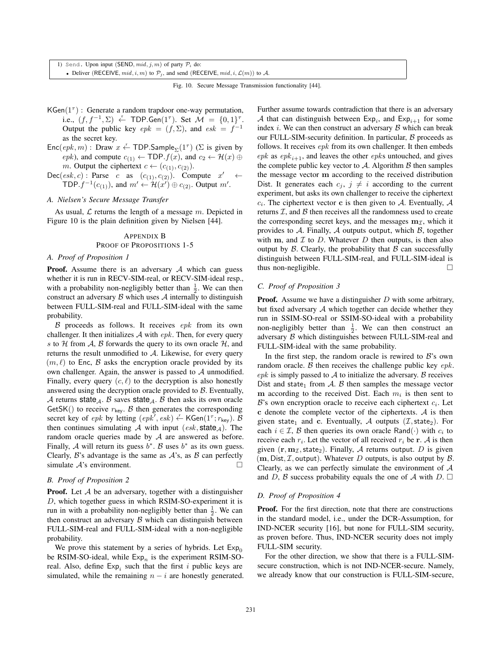1) Send. Upon input (SEND,  $mid, j, m$ ) of party  $P_i$  do: • Deliver (RECEIVE,  $mid, i, m$ ) to  $P_j$ , and send (RECEIVE,  $mid, i, \mathcal{L}(m)$ ) to A.

|  |  |  |  |  | Fig. 10. Secure Message Transmission functionality [44]. |  |
|--|--|--|--|--|----------------------------------------------------------|--|
|--|--|--|--|--|----------------------------------------------------------|--|

- KGen( $1^{\tau}$ ) : Generate a random trapdoor one-way permutation, i.e.,  $(f, f^{-1}, \Sigma) \stackrel{\cdot}{\leftarrow} \textsf{TOP.Gen}(1^{\tau})$ . Set  $\mathcal{M} = \{0, 1\}^{\tau}$ . Output the public key  $epk = (f, \Sigma)$ , and  $esk = f^{-1}$ as the secret key.
- $\mathsf{Enc}(\mathit{epk}, m)$ : Draw  $x \stackrel{r}{\leftarrow} \mathsf{TDP}.\mathsf{Sample}_{\Sigma}(1^{\tau})$  ( $\Sigma$  is given by epk), and compute  $c_{(1)} \leftarrow \text{TDP}.f(x)$ , and  $c_2 \leftarrow \mathcal{H}(x) \oplus$ m. Output the ciphertext  $c \leftarrow (c_{(1)}, c_{(2)})$ .
- $Dec(esk, c)$ : Parse c as  $(c_{(1)}, c_{(2)})$ . Compute  $x'$ TDP.  $f^{-1}(c_{(1)})$ , and  $m' \leftarrow \mathcal{H}(x') \oplus c_{(2)}$ . Output  $m'$ .

#### *A. Nielsen's Secure Message Transfer*

As usual,  $\mathcal L$  returns the length of a message  $m$ . Depicted in Figure 10 is the plain definition given by Nielsen [44].

#### APPENDIX B

#### PROOF OF PROPOSITIONS 1-5

#### *A. Proof of Proposition 1*

**Proof.** Assume there is an adversary  $A$  which can guess whether it is run in RECV-SIM-real, or RECV-SIM-ideal resp., with a probability non-negligibly better than  $\frac{1}{2}$ . We can then construct an adversary  $\beta$  which uses  $\mathcal A$  internally to distinguish between FULL-SIM-real and FULL-SIM-ideal with the same probability.

 $\beta$  proceeds as follows. It receives epk from its own challenger. It then initializes  $A$  with  $epk$ . Then, for every query s to  $H$  from  $A$ ,  $B$  forwards the query to its own oracle  $H$ , and returns the result unmodified to A. Likewise, for every query  $(m, \ell)$  to Enc, B asks the encryption oracle provided by its own challenger. Again, the answer is passed to  $A$  unmodified. Finally, every query  $(c, \ell)$  to the decryption is also honestly answered using the decryption oracle provided to  $B$ . Eventually, A returns state<sub>A</sub>. B saves state<sub>A</sub>. B then asks its own oracle GetSK() to receive  $r_{\text{key}}$ . B then generates the corresponding secret key of epk by letting  $(epk', esk) \overset{r}{\leftarrow} KGen(1^{\tau}; r_{key})$ . B then continues simulating A with input  $(esk, state_A)$ . The random oracle queries made by  $A$  are answered as before. Finally, A will return its guess  $b^*$ . B uses  $b^*$  as its own guess. Clearly,  $\mathcal{B}$ 's advantage is the same as  $\mathcal{A}$ 's, as  $\mathcal{B}$  can perfectly simulate  $A$ 's environment.  $\Box$ 

### *B. Proof of Proposition 2*

**Proof.** Let  $A$  be an adversary, together with a distinguisher D, which together guess in which RSIM-SO-experiment it is run in with a probability non-negligibly better than  $\frac{1}{2}$ . We can then construct an adversary  $\beta$  which can distinguish between FULL-SIM-real and FULL-SIM-ideal with a non-negligible probability.

We prove this statement by a series of hybrids. Let  $Exp_0$ be RSIM-SO-ideal, while  $Exp<sub>n</sub>$  is the experiment RSIM-SOreal. Also, define  $Exp_i$  such that the first i public keys are simulated, while the remaining  $n - i$  are honestly generated.

Further assume towards contradiction that there is an adversary A that can distinguish between  $Exp_i$ , and  $Exp_{i+1}$  for some index  $i$ . We can then construct an adversary  $\beta$  which can break our FULL-SIM-security definition. In particular,  $\beta$  proceeds as follows. It receives  $epk$  from its own challenger. It then embeds  $epk$  as  $epk_{i+1}$ , and leaves the other  $epks$  untouched, and gives the complete public key vector to  $A$ . Algorithm  $B$  then samples the message vector **m** according to the received distribution Dist. It generates each  $c_j$ ,  $j \neq i$  according to the current experiment, but asks its own challenger to receive the ciphertext  $c_i$ . The ciphertext vector **c** is then given to A. Eventually, A returns  $I$ , and  $B$  then receives all the randomness used to create the corresponding secret keys, and the messages  $m<sub>\mathcal{I}</sub>$ , which it provides to  $A$ . Finally,  $A$  outputs output, which  $B$ , together with  $m$ , and  $\mathcal I$  to  $D$ . Whatever  $D$  then outputs, is then also output by  $\beta$ . Clearly, the probability that  $\beta$  can successfully distinguish between FULL-SIM-real, and FULL-SIM-ideal is thus non-negligible. - $\Box$ 

#### *C. Proof of Proposition 3*

**Proof.** Assume we have a distinguisher  $D$  with some arbitrary, but fixed adversary  $A$  which together can decide whether they run in SSIM-SO-real or SSIM-SO-ideal with a probability non-negligibly better than  $\frac{1}{2}$ . We can then construct an adversary B which distinguishes between FULL-SIM-real and FULL-SIM-ideal with the same probability.

In the first step, the random oracle is rewired to  $B$ 's own random oracle.  $\beta$  then receives the challenge public key  $epk$ .  $epk$  is simply passed to  $A$  to initialize the adversary.  $B$  receives Dist and state<sub>1</sub> from A. B then samples the message vector **m** according to the received Dist. Each  $m_i$  is then sent to  $\mathcal{B}$ 's own encryption oracle to receive each ciphertext  $c_i$ . Let **c** denote the complete vector of the ciphertexts. A is then given state<sub>1</sub> and **c**. Eventually, A outputs (*I*, state<sub>2</sub>). For each  $i \in \mathcal{I}$ ,  $\beta$  then queries its own oracle Rand( $\cdot$ ) with  $c_i$  to receive each  $r_i$ . Let the vector of all received  $r_i$  be **r**. A is then given  $(\mathbf{r}, \mathbf{m}_I, \mathbf{state}_2)$ . Finally, A returns output. D is given  $(m, Dist, \mathcal{I}, output)$ . Whatever D outputs, is also output by  $\mathcal{B}.$ Clearly, as we can perfectly simulate the environment of  $A$ and D, B success probability equals the one of A with D.  $\Box$ 

#### *D. Proof of Proposition 4*

Proof. For the first direction, note that there are constructions in the standard model, i.e., under the DCR-Assumption, for IND-NCER security [16], but none for FULL-SIM security, as proven before. Thus, IND-NCER security does not imply FULL-SIM security.

For the other direction, we show that there is a FULL-SIMsecure construction, which is not IND-NCER-secure. Namely, we already know that our construction is FULL-SIM-secure,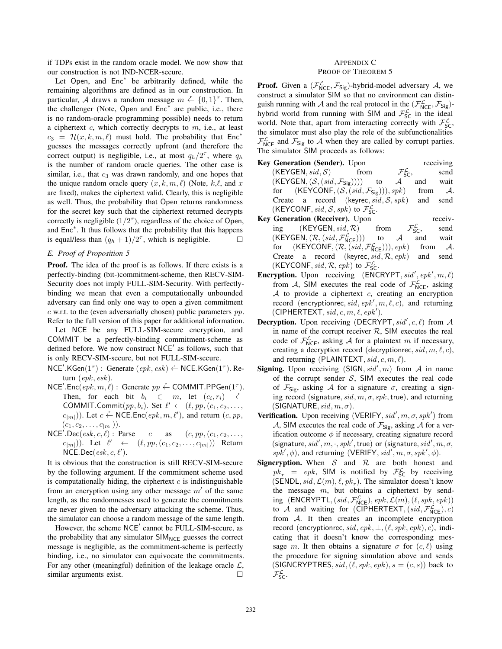if TDPs exist in the random oracle model. We now show that our construction is not IND-NCER-secure.

Let Open, and Enc<sup>∗</sup> be arbitrarily defined, while the remaining algorithms are defined as in our construction. In particular, A draws a random message  $m \leftarrow \{0, 1\}^{\tau}$ . Then, the challenger (Note, Open and Enc<sup>∗</sup> are public, i.e., there is no random-oracle programming possible) needs to return a ciphertext  $c$ , which correctly decrypts to  $m$ , i.e., at least  $c_3 = \mathcal{H}(x, k, m, \ell)$  must hold. The probability that Enc<sup>\*</sup> guesses the messages correctly upfront (and therefore the correct output) is negligible, i.e., at most  $q_h/2^{\tau}$ , where  $q_h$ is the number of random oracle queries. The other case is similar, i.e., that  $c_3$  was drawn randomly, and one hopes that the unique random oracle query  $(x, k, m, \ell)$  (Note, k,  $\ell$ , and x are fixed), makes the ciphertext valid. Clearly, this is negligible as well. Thus, the probability that Open returns randomness for the secret key such that the ciphertext returned decrypts correctly is negligible  $(1/2^{\tau})$ , regardless of the choice of Open, and Enc<sup>∗</sup>. It thus follows that the probability that this happens is equal/less than  $(q_h + 1)/2^{\tau}$ , which is negligible.  $\Box$ 

## *E. Proof of Proposition 5*

Proof. The idea of the proof is as follows. If there exists is a perfectly-binding (bit-)commitment-scheme, then RECV-SIM-Security does not imply FULL-SIM-Security. With perfectlybinding we mean that even a computationally unbounded adversary can find only one way to open a given commitment  $c$  w.r.t. to the (even adversarially chosen) public parameters  $pp$ . Refer to the full version of this paper for additional information.

Let NCE be any FULL-SIM-secure encryption, and COMMIT be a perfectly-binding commitment-scheme as defined before. We now construct  $NCE'$  as follows, such that is only RECV-SIM-secure, but not FULL-SIM-secure.

- NCE'.KGen(1<sup> $τ$ </sup>) : Generate (epk, esk) ← NCE.KGen(1<sup> $τ$ </sup>). Return (epk, esk).
- $NCE'.Enc(epk, m, \ell):$  Generate  $pp \leftarrow \text{COMMIT.PPGen}(1^{\tau}).$ Then, for each bit  $b_i \in m$ , let  $(c_i, r_i) \in \mathbb{R}$ COMMIT.Commit $(pp, b_i)$ . Set  $\ell' \leftarrow (\ell, pp, (c_1, c_2, \ldots, c_n))$  $(c_{|m|}))$ . Let  $c \leftarrow \text{NCE}$ . Enc $(epk, m, \ell')$ , and return  $(c, pp, \ell')$  $(c_1, c_2, \ldots, c_{|m|})$ ).
- $NCE'.Dec(esk, c, \ell)$ : Parse c as  $(c, pp, (c_1, c_2, \ldots, c_n))$  $(c_{|m|})$ ). Let  $\ell' \leftarrow (\ell, pp, (c_1, c_2, \ldots, c_{|m|}))$  Return  $NCE\_Dec(esk, c, \ell').$

It is obvious that the construction is still RECV-SIM-secure by the following argument. If the commitment scheme used is computationally hiding, the ciphertext  $c$  is indistinguishable from an encryption using any other message  $m'$  of the same length, as the randomnesses used to generate the commitments are never given to the adversary attacking the scheme. Thus, the simulator can choose a random message of the same length.

However, the scheme NCE' cannot be FULL-SIM-secure, as the probability that any simulator  $SIM_{NCE}$  guesses the correct message is negligible, as the commitment-scheme is perfectly binding, i.e., no simulator can equivocate the commitments. For any other (meaningful) definition of the leakage oracle  $\mathcal{L}$ , similar arguments exist.  $\Box$ 

## APPENDIX C PROOF OF THEOREM 5

**Proof.** Given a  $(\mathcal{F}_{NCE}^{\mathcal{L}}, \mathcal{F}_{Sig})$ -hybrid-model adversary A, we construct a simulator SIM so that no environment can distinguish running with A and the real protocol in the  $(\mathcal{F}_{NCE}^{\mathcal{L}}, \mathcal{F}_{Sig})$ hybrid world from running with SIM and  $\mathcal{F}_{SC}^{\mathcal{L}}$  in the ideal world. Note that, apart from interacting correctly with  $\mathcal{F}_{SC}^{\mathcal{L}}$ , the simulator must also play the role of the subfunctionalities  $\mathcal{F}_{NCE}^{\mathcal{L}}$  and  $\mathcal{F}_{Sig}$  to A when they are called by corrupt parties. The simulator SIM proceeds as follows:

- Key Generation (Sender). Upon receiving (KEYGEN, sid, S) from  $\mathcal{F}_{SC}^{\mathcal{L}}$ , send<br>wait  $(KEYGEN, (\mathcal{S}, (sid, \mathcal{F}_{Sig}))))$  to  $\mathcal{A}$  and for  $(KEYCONF, (S, (sid, \mathcal{F}_{Sig}))), spk)$  from A. Create a record (keyrec,  $sid, S, sph$ ) and send (KEYCONF, sid, S, spk) to  $\mathcal{F}_{\mathsf{SC}}^{\mathcal{L}}$ .
- Key Generation (Receiver). Upon receiving  $(KEYGEN, sid, R)$  from  $\mathcal{F}_{SC}^{\mathcal{L}}$ ,  $\frac{L}{\text{SC}}$ , send<br>and wait  $(KEYGEN, (\mathcal{R}, (sid, \mathcal{F}_{NCE}^{\mathcal{L}})))$  to A and wait for  $(KEYCONF, (\mathcal{R}, (sid, \mathcal{F}_{NCE}^{\mathcal{L}}))), epk)$  from A. Create a record (keyrec, sid, R, epk) and send (KEYCONF, sid,  $\mathcal{R}$ , epk) to  $\mathcal{F}_{\mathsf{SC}}^{\mathcal{L}}$ .
- **Encryption.** Upon receiving  $(ENCRYPT, sid', epk', m, \ell)$ from A, SIM executes the real code of  $\mathcal{F}_{NCE}^{\mathcal{L}}$ , asking  $A$  to provide a ciphertext  $c$ , creating an encryption record (encryptionrec, sid, epk',  $m, \ell, c$ ), and returning  $(CIPHERTEXT, sid, c, m, \ell, epk').$
- **Decryption.** Upon receiving (DECRYPT,  $sid', c, \ell$ ) from A in name of the corrupt receiver  $R$ , SIM executes the real code of  $\mathcal{F}_{NCE}^{\mathcal{L}}$ , asking A for a plaintext m if necessary, creating a decryption record (decryptionrec,  $sid, m, \ell, c$ ), and returning (PLAINTEXT,  $sid, c, m, \ell$ ).
- **Signing.** Upon receiving  $(SIGN, sid', m)$  from A in name of the corrupt sender  $S$ , SIM executes the real code of  $\mathcal{F}_{Sig}$ , asking A for a signature  $\sigma$ , creating a signing record (signature,  $sid, m, \sigma, spk$ , true), and returning (SIGNATURE,  $sid, m, \sigma$ ).
- Verification. Upon receiving (VERIFY,  $sid', m, \sigma, spk'$ ) from A, SIM executes the real code of  $\mathcal{F}_{\mathsf{Sig}}$ , asking A for a verification outcome  $\phi$  if necessary, creating signature record (signature,  $sid', m, \cdot, spk', \text{true}$ ) or (signature,  $sid', m, \sigma,$ spk',  $\phi$ ), and returning (VERIFY, sid', m,  $\sigma$ , spk',  $\phi$ ).
- **Signcryption.** When  $S$  and  $R$  are both honest and  $pk_r = epk$ , SIM is notified by  $\mathcal{F}_{SC}^{\mathcal{L}}$  by receiving (SENDL, sid,  $\mathcal{L}(m)$ ,  $\ell$ ,  $pk<sub>r</sub>$ ). The simulator doesn't know the message  $m$ , but obtains a ciphertext by sending (ENCRYPTL,  $(side, \mathcal{F}_{NCE}^{\mathcal{L}}), epk, \mathcal{L}(m), (\ell, spk, epk))$ to A and waiting for  $(\overline{\text{CIPHERTEXT}}, (sid, \mathcal{F}_{\text{NCE}}^{\mathcal{L}}), c)$ from A. It then creates an incomplete encryption record (encryptionrec, sid, epk,  $\bot$ ,  $(\ell, spk, epk)$ , c), indicating that it doesn't know the corresponding message m. It then obtains a signature  $\sigma$  for  $(c, \ell)$  using the procedure for signing simulation above and sends (SIGNCRYPTRES, sid,  $(\ell, spk, epk), s = (c, s)$ ) back to  $\mathcal{F}^{\mathcal{L}}_{\mathsf{SC}}$ .